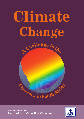# **Climate Change**



**A publication of the South African Council of Churches**

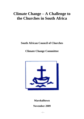# **Climate Change – A Challenge to the Churches in South Africa**

# **South African Council of Churches**

# **Climate Change Committee**



# **Marshalltown**

# **November 2009**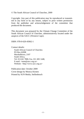© The South African Council of Churches, 2009

Copyright: Any part of this publication may be reproduced or transmitted in any form or by any means, subject to prior written permission from the publisher and acknowledgement of the committee that produced the document.

This document was prepared by the Climate Change Committee of the South African Council of Churches, administratively located under the auspices of the SACC (Western Cape).

ISBN: 978-0-620-45062-1

Contact details:

South African Council of Churches PO Box 62098 Marshalltown, 2107 South Africa, Tel. 011241 7800, Fax. 011 492 1448, E-mail: <tmm@sacc.org.za> Website: <http://www.sacc.org.za>

Publication date: October 2009 Cover design by Monica Kirsten Printed by SUN Media, Stellenbosch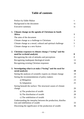# **Table of contents**

|  | Preface by Eddie Makue                                        | V  |
|--|---------------------------------------------------------------|----|
|  | Background to the document                                    | vi |
|  | Executive summary                                             | ix |
|  | 1. Climate change on the agenda of Christians in South        |    |
|  | <b>Africa</b>                                                 | 1  |
|  | The aims of the document                                      | 1  |
|  | Climate change as a challenge to Christians                   | 3  |
|  | Climate change as a moral, cultural and spiritual challenge   | 5  |
|  | Climate change as a new Kairos                                | 7  |
|  | 2. Christian responses to climate change ("Acting" and the    |    |
|  | need for ecclesial analysis)                                  | 8  |
|  | Recognising the role of attitudes and perceptions             | 8  |
|  | Recognising inadequate theological trends                     | 12 |
|  | Recognising existing Christian responses                      | 16 |
|  | 3. Investigating what is at stake ("Seeing" and the need for  |    |
|  | social analysis)                                              | 19 |
|  | Seeing the analyses of scientific experts on climate change   | 19 |
|  | Seeing the recommendations of policy makers                   | 23 |
|  | a) Mitigation                                                 | 23 |
|  | b) Adaptation                                                 | 25 |
|  | Seeing beneath the surface: The structural causes of climate  |    |
|  | change                                                        | 26 |
|  | a) The production of wealth                                   | 26 |
|  | b) The distribution of wealth                                 | 28 |
|  | c) The redefinition of wealth                                 | 31 |
|  | Understanding the interplay between the production, distribu- |    |
|  | tion and redefinition of wealth                               | 33 |
|  | Discerning the significance of the production of wealth       | 36 |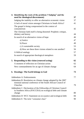|                                       | 4. Identifying the roots of the problem ("Judging" and the<br>need for theological discernment)                                           | 37 |
|---------------------------------------|-------------------------------------------------------------------------------------------------------------------------------------------|----|
|                                       | Judging the inability to offer an alternative economic vision                                                                             | 37 |
|                                       | A lack of moral vision amongst Christians in South Africa?                                                                                | 41 |
|                                       | The gospel is being compromised in the context of<br>consumerism                                                                          | 42 |
|                                       | The Christian faith itself is being distorted: Prophetic critique,<br>idolatry and heresy                                                 | 44 |
|                                       | In search of an alternative vision of hope                                                                                                | 46 |
|                                       | a) Justice                                                                                                                                | 47 |
|                                       | b) Peace                                                                                                                                  | 49 |
|                                       | c) A sustainable society                                                                                                                  | 53 |
|                                       | d) How are these three visions related to one another?                                                                                    | 56 |
|                                       | A biblical analogy                                                                                                                        | 57 |
|                                       | In search of appropriate theological metaphors                                                                                            | 59 |
|                                       | 5. Responding to this vision (renewed acting)                                                                                             | 62 |
|                                       | A moment of reflection on Christian action                                                                                                | 62 |
|                                       | New commandments for an age of climate change                                                                                             | 64 |
|                                       | 6. Doxology: The Earth belongs to God                                                                                                     | 73 |
|                                       | Addendum A: Endorsements                                                                                                                  | 77 |
|                                       | Addendum B: Resolution on climate change adopted by the 2007<br>triennial national conference of the South African Council of<br>Churches | 79 |
|                                       | Addendum C: Declaration of the Fellowship of Christian Council                                                                            |    |
|                                       | in Southern Africa (FOCCISA) on ecological debt and climate<br>change                                                                     | 80 |
|                                       | Addendum D: WCC Statement on eco-justice and ecological debt                                                                              | 84 |
| Addendum E: The term "consumer class" |                                                                                                                                           | 90 |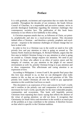# **Preface**

It is with gratitude, excitement and expectation that we make this book available. Throughout the decades of our existence, the South African Council of Churches, in a responsible and pro-active manner, strive to provide theological leadership regarding the immense challenges that contemporary societies face. The publication of this book bears testimony to our efforts to live faithfully to this calling.

A *Christian* response entails that we, as followers of Christ, act priestly, prophetically and also in a royal-servant manner. This document indeed offers a Christian – and therefore a priestly, prophetic and royalservant – response to the immense challenges of climate change that we have to deal with.

In order to live in a Christian way in the world we need to live with *priestly love* and pay attention to what is going on around us. The famous North American theologian, H. Richard Niebuhr, argues that the first step in faithful Christian living is to pay attention to what is going on around us. Climate change requires our attention. We need to pay attention. As those who adhere to an ethos of justice, peace and the integrity of creation, we pay attention to the plight of our natural environment as well. So, priestly Christian living is to pay attention and to show compassion. This affectionate and caring attention is an expression of love.

According to Philippians 1 verses 8 and 9, the apostle Paul prays that this love may abound in us, so that we can distinguish what really matters in life, so that we can discern the real priorities of life. This priestly love enable Christians all over the world to pay appropriate attention to this world that God loves so much.

This document is an expression of love and concern for God's world. and it testifies to the priestly care and compassion of the ecumenical movement for God"s world, specifically for the most vulnerable peoples, communities and ecosystems. This book will hopefully prevent Christians from repeating that classic saying that reflects the absence of the virtue of paying attention: *we did not know*. It recognises that Christianity (in South Africa and elsewhere in the world) is as much part of the problem as it may contribute to the solution. It therefore focuses on that which is specific to the Christian tradition.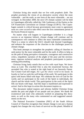Christian living also entails that we live with *prophetic faith*. The prophet proclaims the vision of an alternative society where the most vulnerable – and the earth, as one form of the most vulnerable – are not wronged. In December 2009, the next UN climate summit will be held in Copenhagen officially called the 15th Conference of the Parties to the UN Framework Convention on Climate Change (COP15). The Copenhagen summit is critical because governments must come to agreement soon on a new accord to take effect once the first commitment period of the Kyoto Protocol expires.

No matter what will happen in Copenhagen (whether it is a huge success or an immense failure), climate change will continue and its consequences will continue to affect the most vulnerable communities. There is a sense in which the SACC should look beyond Copenhagen and enhance the responses of the churches to the challenges posed by climate change.

This book attempts to strengthen the prophetic calling of churches to seek justice for the most vulnerable and for the earth. It offers to help us on the path of being perceptive visionaries, courageous and constructive critics, empathetic narrators of the plight of the poor and the environment, vigorous technical analysts and prophetic participants in justiceseeking policymaking.

Christian living lastly entails that we live with *royal hope*. We know Jesus as Lord. The crucified One is also the resurrected Saviour, the ascended One who is seated at the right hand of our heavenly Parent. Our Creator God still reigns. *He's got the whole world in his hands*. In loyalty to God we seek the well-being of the earth. We participate in this quest with hearts filled with hope. We celebrate the love of God for the world, and we participate in the work of the Spirit in individuals, the church and the whole world. This participation in the work of the Spirit fills our hearts with hope. And this hope is manifested and expressed in action! And to this hope in action this document inspires us.

This document indeed inspires and informs faithful Christian living amidst the pain and plight of our people and our planet. We thank the ecumenical task team who arduously worked on preparing this document, as well as the many who commented on and suggested amendments on the text.

The National Executive Committee (NEC) of the South African Council of Churches recognises that climate change is not just a human tragedy but changes the very basis of survival on this planet. Mindful of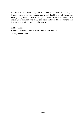the impacts of climate change on food and water security, our way of life, our culture, our community, our overall health and well being, the ecological systems on which we depend, other creatures with whom we share Gods creation, the NEC therefore endorsed this document and invites others to join in such endorsements.

Eddie Makue General Secretary, South African Council of Churches 18 September 2009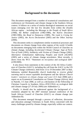# **Background to the document**

This document emerged from a number of ecumenical consultations and conferences on Christianity and climate change in the Southern African context. It follows on a series of similar theological statements on social issues emerging over the last few decades from within the (South) African region – including the *Message to the People of South Africa* (1968), the *Belhar confession* (1982/1986), the *Kairos Document* (1985/1986), the *Road to Damascus* (1989), *The Land is Crying for Justice* (2002), the *Accra Declaration* (2005) and the *Oikos Journey* (2006).

This document seeks to complement similar ecumenical processes and documents on climate change from other regions of the world. It builds on documents emerging from within the World Council of Churches on climate change, including *Accelerated Climate Change: Sign of Peril, Test of Faith* (1993), *Solidarity with Victims of Climate Change* (2002), *Alternative Globalization Addressing Peoples and Earth (AGAPE)*  (2005) and a series of climate change newsletters. Most recently, it draws from the WCC "Statement on eco-justice and ecological debt" (2/09/2009).

It also draws from statements in the context of the All Africa Conference of Churches (AACC), including the call from the AACC to the UN Climate Change conference, held from 13 to 19 December 2007 in Bali, Indonesia, entitled *Responsible church leadership to reverse global warming and to ensure equitable development* and the *African Church leaders' statement on climate change and water* (3-5 June 2008) and a report on an Ecumenical Consultation on Climate Change (Africa), held in Nairobi, 3-5 June 2008, as well as a declaration of the Fellowship of Christian Councils in Southern Africa (FOCCISA) on ecological debt and climate change (27-29 July 2009) (see Addendum C).

Finally, it should also be understood against the background of a resolution adopted by the 2007 triennial national conference of the South African Council of Churches (SACC) on climate change (see Addendum B).

This document emerged through a process of reflection, discussion and education amongst Christians in South Africa concerned with the many challenges posed by climate change, especially within our context.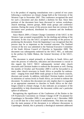It is the product of ongoing consultations over a period of two years following a conference on climate change held at the University of the Western Cape in November 2007. This conference recognised the need for such a document and also drafted a skeleton for that. Since then portions of the document have been discussed in various workshops, church meetings, interest groups, Bible study groups and conference sessions. During the course of this process more than ten versions of the document were produced, distributed for comment and the feedback incorporated.

Since March 2009 a Climate Change Committee of the SACC in the Western Cape accepted responsibility for the drafting and editing of the document. In this way the SACC accepted ownership of the process of producing the document. From the beginning it was recognised that this process may be as important as the eventual outcome. The finalised version of the text was submitted to the National Executive Committee of the South African Council of Churches in September 2009. The document was subsequently endorsed by the SACC NEC, as indicated in the preface by Eddie Makue, the General Secretary of the SACC, above.

The document is aimed primarily at churches in South Africa and since the process of reflection, education and discernment is crucial in this regard, the SACC NECC subsequently invited other church structures and Christian leaders to endorse the document as well. During the months of October and November 2009 it will be forwarded to as many other church structures in South Africa as possible for endorsement – ranging from small Bible study groups to local church councils, dioceses and synods. In addition, individual Christian leaders, involved in ministries at various levels in South Africa, are invited to endorse the document. To endorse this document not only implies that it is regarded as an appropriate statement to churches in South Africa on the challenges related to climate change. It also indicates an acceptance of the responsibility to help disseminate the document within one"s particular sphere of influence.

Recognising the significance of the Conference of the Parties to the UN Framework Convention on Climate Change (COP 15) planned for Copenhagen in December 2009, it was agreed to set 1 December 2009 as a cut-off date for a first round of endorsements. This does not imply that the main purpose of the document is to influence discussions in Copenhagen. Instead, this is primarily a theological statement addressed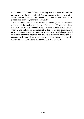to the church in South Africa, discerning that a moment of truth has arrived where Christians in South Africa, together with people of other faiths and from other countries, have to examine their own lives, habits, perceptions, attitudes, ethos and spirituality.

An electronic version of the document including the endorsements received will be made available by 1 December 2009 when the document will be officially launched. Church structures and Christian leaders who wish to endorse the document after this cut-off date are invited to do so and to demonstrate a commitment to address the challenges posed by climate change in this way. The process of reflection, discussion and education will clearly have to continue in the decades that lie ahead. See the section on endorsements in Addendum A in this regard.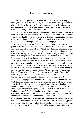# **Executive summary**

1. There is an urgent need for churches in South Africa to engage in theological reflection on the challenges posed by climate change in order to discern the signs of the times. This follows upon a series of similar theological statements on social issues emerging over the last few decades from within the (South) African context (p. vi-vii).

2. This document is not primarily addressed to policy makers in government or in business and industry. It does not suggest from a safe distance what others should do. In an exercise of critical self-examination it speaks to lay and ordained Christian leaders in South Africa to assist them in reflecting on the challenges posed by climate change (p. 1-3).

3. In this document we speak about a common task to live together on a planet that we share with each other, with people from other faith traditions and numerous other forms of life. About this challenge Christians in the consumer class and amongst the poor (the likely victims of climate change) have to learn to speak together. This is by no means easy as indicated in the multiple voices present in this document and the attempt to use the pronoun "we" across the divisions of race, class, gender, culture and language.

4. Unlike Christian witness from within the South African context in the past, we have to recognise that we do not occupy and cannot speak from the moral high ground – because Christianity is considered by many to be part of the problem, not the solution, because others have been acting as prophets in this regard, because South Africa"s carbon emissions are so high, and because the ideology of consumerism affects all of us in different ways. Any form of Christian witness in the context of climate change will therefore be to use a measure by which we will be measured (p. 3-5).

5. Climate change poses not merely a technological, an economic or a political challenge. Given the pervasiveness of the consumer culture and of consumerist desires, it is also a cultural, moral and indeed a spiritual problem – which lies not merely in the ecosystem but also in the human heart, in our attitudes, orientations and aspirations, in our priorities, habits, practices and institutions (p. 5-7). This implies that climate change requires from Christians, especially those in the consumer class, nothing less than conversion, a fundamental change of mind (*metanoia*).

6. Although it may be true that climate change has not nearly been at the top of the social agenda of churches in South Africa, it is affecting people more deeply than they may realise since it touches on our perceptions of the future. The educated and the illiterate alike notice weather changes and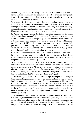wonder why this is the case. Deep down we fear what the future will bring for us and our children. In this document we seek to articulate how people from different sectors of the South Africa society actually respond to the issue of climate change (p. 8-12).

7. Amongst Christians, the quest to find an appropriate response has been inhibited by a number of theological trends that have to be exposed as inadequate. In this document we explore in this regard mastery theology, escapist theologies, inculturation theologies in the context of consumerism, blaming theologies and the prosperity gospel (p. 12-16).

8. Worldwide many people (including Christian communities in South Africa) have been wonderfully innovative in finding practical solutions to lower our collective carbon footprint (p. 16-19). However, the response has not nearly been commensurate to the scale and gravity of the problem. It is possible, even if difficult for people in the consumer class to reduce their personal carbon footprint by 10%, but what is required is a global reduction of around 50% (up to 80% amongst the consumer class and in highly industrialised countries). More good intentions will not resolve the problem!

9. Christian communities in South Africa need to educate themselves on how greenhouse gases are being emitted – through the use of fossil fuels, through the products that we buy and consume and through what is done in the public sphere on our behalf (p. 21-23).

10. Churches in South Africa will have a special responsibility in coming decades to assist the victims of climate change (including environmental refugees from elsewhere in Africa) who are unable to adapt to the impact of climate change and who could not be assisted through global adaptation measures. Indeed, when the impact of climate change will become severe, there is a likelihood that "love will grow lukewarm" (p. 25).

11. In analysing the root causes of climate change it is important to integrate the needs for the production of wealth (as emphasised in neo-liberal capitalism), the more equitable distribution of wealth (as emphasised in forms of socialism) and the redefinition of wealth (as emphasised in the so-called "new economics"). The document offers an extensive analysis that can aid further reflection amongst Christians on the economy and concludes that the church is called to emphasise that aspect which is neglected in a particular context (p. 26-35).

12. Although climate change has been on the global agenda for more than two decades, carbon emissions are still increasing and may well continue to do so. This takes place despite the fact that the technology to address the problem is already available. This suggests that the underlying problem is not just a lack of information or planning. It is a liberal fallacy to assume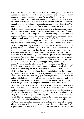that information and education is sufficient to encourage moral action. We suggest that, at a deeper level, the problem may be one of *a lack of moral imagination, moral courage and moral leadership.* It is a matter of moral vision. We need to envision alternatives to the current global economic order that has caused climate change. Such a vision needs to be attractive enough to motivate millions of people, to energise and mobilise action. The question is therefore whether a different world is indeed possible (p. 37-38).

13. Religious traditions can play a crucial role to offer the necessary inspiration, spiritual vision, ecological wisdom, ethical discernment, moral power and *hope* to sustain an ecological transformation. Religious traditions can provide what science cannot: they promise not only meaning, but also survival power, deliverance, healing, well-being (p. 39-40). Given the complicity of Christianity in climate change, it should be clear that Christians will need to play a crucial role in coming to terms with the deepest roots of the crisis.

14. It is deeply worrying that we as Christians, too, so often seem unable to portray through our witness and action the kind of alternative that is required – despite our cherished heritage in this regard. In fact, many Christians have been supporting a destructive vision. We have placed our faith and trust in human ingenuity, scientific progress and technological innovation. We believe that knowledge and education (or suitable qualifications) will offer us and our children a ticket to prosperity. We have followed the secular dreams of increasing prosperity and economic development. We have come to follow a lifestyle (or to hope to be able to adopt a lifestyle) that is not sustainable and cannot be adopted by all others. We have been captured by the lure of consumerism and hedonism (p. 40-41).

15. It is perhaps still understandable that we as Christians have been trapped by the lure of wealth. However, it is especially disturbing that we all too often interpret and proclaim the gospel accordingly. This leads to a form of cultural Christianity that fits all too snugly with the consumer society in which we find ourselves. In this document we identify several ways in which the gospel has been compromised in our own midst (p. 41-43).

16. Climate change is more than an ethical issue. It is also a matter where the content and the significance of the Christian faith are at stake. In the context of consumerism Christians have to reflect anew on the dangers of idolatry and the surrogates that we tend to find for trust in God and in the Way of the cross. We explore such surrogates and the dangers of heresy (p. 43-5). The very purpose of this document is to confront and expose new ways in which the Christian faith is being distorted amongst ourselves.

17. Where can we find an inspiring vision of hope in the context of climate change, one that will energise people to take the appropriate steps? We explore three concepts that have captured an ecumenical vision since the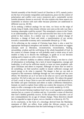Nairobi assembly of the World Council of Churches in 1975, namely *justice* (in the face of economic inequalities and injustices), *peace* (in the context of polarisation and conflict over scarce resources) and a *sustainable society* (amidst planetary threats to survival). We also explain why these aspects are sometimes in tension with each other because priorities are understood in different ways (p. 46-56).

18. In seeking a biblical analogy for our time, we focus on the reign of Josiah, king of Judah, when drastic reforms were seen as the only way that a looming catastrophe could be averted. This stimulated a return to the Torah, to an understanding of how God"s just and merciful laws have to be reinterpreted in that context. In a similar way we require a radical change of direction, a change of heart and mind, a transformation of our society towards a sustainable economy and a sustainable lifestyle (p. 57-58).

19. In reflecting on the content of Christian hope there is also a need for appropriate theological metaphors and models. In this document we suggest concepts such as liberation, reconstruction, reconciliation, healing, stewardship, wisdom and the well-being of the whole household of God. In the context of climate change we will probably need a whole array of such models to help us to discern the challenges, to guide us in our decision making and to inspire us with a vision of hope (p. 58-61).

20. If our collective inability to address climate change is not due to a lack of information or technology, but a lack of moral imagination, courage and leadership, it will not be sufficient merely to issue yet more prophetic calls upon Christians and others to respond. Although we know that we need to do something, we find ourselves unable to muster sufficient courage and moral energy to do what is required. The danger is that we can seek to respond to this enormous challenge through our own strength and our own efforts. We therefore act as if we have to do what we can to save the planet ourselves. We fail to take our own message seriously. We reduce the gospel of God"s work in Jesus Christ to save the world from sin and destruction to the feeble call upon Christians and others to make a difference themselves. Instead, we need to explore from within our context the resources of Christianity to offer a message to the world that is so sorely needed (p. 61-63).

21. In the Jewish-Christian tradition God"s law is not regarded as something onerous but as a source of wisdom and joy. It provides a sense of direction that God"s faithful gratefully receive. In this document we describe a set of new commandments for an age of climate change. These directives should best be regarded as signs of grace, not as a burden or a threat (p. 63-72).

22. In conclusion, in the form of a doxology derived from the Machakos statement of 2002, we reflect, from within the African context, on the significance of the affirmation that the Earth belongs to God (p. 72-75).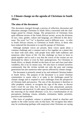# **1. Climate change on the agenda of Christians in South Africa**

### **The aims of the document**

This document emerged through a process of reflection, discussion and education amongst Christians in South Africa concerned with the challenges posed by climate change. The perspectives of Christians from quite different sectors of the South African society, across the divisions of race, class, gender, culture and language, are reflected in this document. The word "we"/"us" is therefore used in different ways – to refer to South African citizens, to Christians in South Africa, to those who have endorsed the document or to specific groups of Christians.

Although multiple voices are present, these voices speak about a common challenge and a common task to live together on a planet that we share with each other, with people from other faith traditions and numerous other forms of life. On this challenge we have to learn to speak *together* and in such a way that the voices of the victims are not dominated by others or even by their spokespersons. For Christians in South Africa, so deeply divided on the basis of race and class (and other variables), this is by no means easy. We also have to remind ourselves continuously that the victims include not only the poor and coming generations but also numerous other species affected by climate change.

The document is primarily aimed at lay and ordained Christian leaders in South Africa. The purpose of the document is to assist Christian communities to assess what is at stake in the challenges posed by climate change and to respond to such challenges from the perspective of Christian faith and practice. The aim of the document is therefore to offer prophetic witness, to recognise the sign of the times, to discern God's word for our time; but its focus is also educational, pastoral, confessional and practical. It calls upon Christians to be transformed by the renewing of our minds (Romans 12:2), for a transformation of our perceptions, thinking, visions, attitudes, orientation, habits, priorities, practices and institutions.

This form of prophetic witness is primarily aimed at churches and speaks to the wider society only on that basis. We recognise that others may be overhearing (perhaps with suspicion) what Christians are saying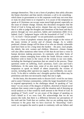amongst themselves. This is not a form of prophecy that safely allocates the blame elsewhere and that merely reiterates a call to do something – which those in government or in the corporate world may not even hear or read, let alone listen to or respond to. It is aware of the temptation to speak as if Christians can occupy some moral high ground, especially on the issue of climate change. Instead, this document recognises that the Word of God is living and active, sharper than any two-edged sword, that it is able to judge the thoughts and intentions of the heart and that it pierces through our own practices, habits and institutions (Heb 4:12). Indeed, God's "judgment begins with the household of God" (1 Pet 4: 17). As God"s "chosen people" we are particularly accountable.

This is a form of prophetic witness that gives weight to the voices of the many victims of society and of climate change. As is widely predicted, climate change will hit those of us who are already vulnerable (and have been so for a long time) the hardest – the poor, rural people, the elderly, the sick, women and children. Moreover, climate change will also affect numerous other forms of life that do not have a voice in human decision making processes. In continuity with other forms of prophetic witness emerging from within the South African context we therefore wish to listen to the voices of the victims in our own midst, including the theological questions that are raised in the process. These questions centre on suffering, God's promises, God's care and God's faithfulness. At the same time, some of us also need to recognise the temptation to speak on behalf of others (especially the victims of society, including other species) too eagerly, too confidently, too assertively. To be able to verbalise one"s thoughts quicker than others may be pretentious and does not necessarily imply that one is right.

On this basis, this document seeks to discern God"s word for our times and to assist Christian communities, within the larger household of God, to respond appropriately to the challenges ahead. In speaking of "our times" we are aware of the dangers of shallow, distorted or biased social analyses that cannot come to grips with the situation and of dressing up social analysis as if that would by itself amount to the Word of God. In speaking of "God's word" we are aware of the danger of speaking on God"s behalf as if we were God. We acknowledge that we do not possess the truth, that there is a difference between our perceptions of the truth and the Truth that we confess, that we are nothing more than witnesses to the grace that we have received. In "discerning" God's word, we recognise the need to speak in continuity with our fathers and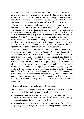mothers in the Christian faith and in solidarity with our brothers and sisters. We also acknowledge that we read the biblical texts in rather different ways. This is partly due to the rich diversity in the Bible and in the Christian tradition. However this can scarcely hide the deep divisions that continue to hamper the plausibility of Christian witness.

In terms of the method followed, the document assumes a tension between action and reflection. It thereby offers theological reflection on the existing responses of churches to climate change. It is structured in terms of the ongoing spiral of acting, seeing, judging and acting anew. Thus it describes current responses by churches on the basis of ecclesial analysis ("acting"), it investigates what is at stake on the basis of a social analysis of the context ("seeing"), it discerns the roots of the problem from the perspective of the Christian faith on the basis of theological discernment ("judging") and it seeks to deepen a Christian response on the basis of pastoral planning ("acting anew").

The term "action" is used here to describe the worship (*leitourgia*), proclamation (*kerugma*), fellowship (*koinonia*), service (*diakonia*) and witness (*marturia*) of Christian communities in South Africa. For this reason, a need was also recognised to produce, alongside this document, appropriate resources for Christian worship, preaching, Bible study, Christian education and guidelines for appropriate practical responses to climate change from within local Christian communities. Such resources should be available in a wide range of genres, including prayers, hymns, posters, lyrics, poetry, DVD"s, colouring books, T-shirts, bite-size chunks for reflection in internet chat-rooms, etc. Especially needed are stories about what Christians have done concretely – with all the failures and successes that this may entail. This document offers an extended theological statement that may serve as a basis document for such other resources.

### **Climate change as a challenge to Christians**

We as Christians in South Africa often find ourselves in two minds when faced with the challenges posed by climate change:

- On the one hand we are called to embody a spirit of hope; on the other hand we often share a sense of gloom over the many ills of our society, our continent and the planet in which we live.
- Although some Christians recognise the seriousness of the challenges posed by climate change, this is often dwarfed by numerous other social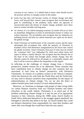concerns in our context. It is indeed hard to know what should receive the priority and how to energise action in this matter.

- Some fear that they will become victims of climate change and other forces well beyond their control; some recognise their involvement and guilt in contributing to the problem; many others are ignorant or unconcerned about the threats of climate change, probably since these seem to remain invisible and long-term.
- As citizens of a so-called emerging economy (in South Africa) we have no immediate obligations in terms of international treaties to reduce our carbon emissions. We nevertheless also recognise that our industries are polluting heavily and that our carbon emissions per capita are far above the global average.
- Some Christians are beneficiaries of the consumer society and the many advantages that accompany that, while the majority of Christians in Southern Africa find themselves marginalised by the forces that control the global economy. Some Christians form part of what may be termed the "consumer class" (see Addendum D), while most others desire and aspire to follow a similar lifestyle. We recognise that this lifestyle lies at the heart of the culture that brought about climate change, that this lifestyle cannot be followed by all people in a sustainable manner and that it will be crucial to address the inequalities in this regard.

In reflecting on the challenge of climate change from a Christian perspective, another tension has to be addressed. Those countries that have contributed most to climate change are also countries that are associated, at least from an historic perspective, with (Western) Christianity. As citizens of a southern country on the African continent, which has historical ties with both the North-West and the North-East we may wish to distance ourselves from responsibility for the impact of industrialisation on climate change. Yet, we are also the direct or indirect beneficiaries (and victims!) of such industrialisation.

Moreover, as Christians in dialogue with people of other living faiths we cannot distance ourselves from our Christian brothers and sisters elsewhere in the world. Indeed, Christianity is as much part of the problem underlying climate change as it may be part of an appropriate response to that. Likewise, during the 1980s many church leaders in South Africa dedicated themselves to the struggle against apartheid, but belonged to churches that failed to do that. As church leaders they could not distance themselves from responsibility for what their brothers and sisters did, even though that would have been the easy option.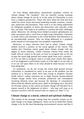An even deeper ambivalence characterises prophetic witness on climate change. The "prophets" who are typically issuing warnings about climate change do not do so in the name of Christianity or even from a religious perspective. Those who have taken the lead and have called for moral vision and moral leadership include scientists, consultants, politicians and journalists. Their work is in fact being undermined by (religious) prophets of doom and destruction who typically evoke fear, not hope. This leads to an inability to confront the stark challenges ahead. Moreover, the driving forces behind economic globalisation are often associated with a vocal form of right-wing Christianity. Christians in South Africa and elsewhere in the world therefore find themselves in an uncomfortable position. They are being addressed in a prophetic mode instead of exercising their own prophetic responsibility.

Moreover, as many churches have had to admit, climate change seldom receives a priority on the social agenda of the church. This implies that Christians cannot speak about climate change with any degree of moral authority. Unlike Christian witness from within the South African context in the past, we have to recognise that we do not occupy the moral high ground and cannot speak from such a position – as if we are able to recognise what is at stake more clearly than others, as if our judgement is particularly sound, as if the right is on our side, as if we can call upon others to do what should be done because we have been doing that.

To summarise, we do not occupy the moral high ground because Christianity is considered by many to be part of the problem, not the solution to it; because others have been acting as prophets; because South Africa"s carbon emissions are so high; because human-induced climate change results from economic production and consumption involving lifestyle issues and because the ideology of consumerism affects both the affluent and the poor, albeit in diverging ways. *Any form of Christian witness in the context of climate change will therefore be to expose oneself to the judgement of others – who may well urge us to measure ourselves with the measure that we employ* (cf. Matt 7:1-5)*.* 

### **Climate change as a moral, cultural and spiritual challenge**

The content of the message coming from the scientific experts on climate change is no longer ambiguous. There can be no doubt that climate change is by far the most threatening environmental concern and that it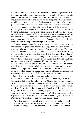will affect almost every aspect of our lives in the coming decades. It is therefore not only an environmental issue – which only some activists need to be concerned about. At stake are the very foundations of industrialised civilisation and indeed life on this planet. What is required to address climate change is a fundamental reorientation of the entire global economy. What needs to be changed are the sources of energy on which all economic activities rely – away from fossil fuels such as coal, oil and gas towards sustainable alternatives. Moreover, this will have to be done within four decades (if a stabilisation of greenhouse gases in the atmosphere is to be reached by 2050) – of which the first decade will be the most crucial. The decision to redirect the global economy has to be taken soon (probably in Copenhagen in December 2009) since it will necessarily take a long time to change its direction.

Climate change cannot be tackled merely through providing more information or prompting further planning. This problem cannot be resolved only on the basis of advanced forms of technology. The hope for quick technological fixes, that will leave consumerist ways of living untouched, has to be unmasked as false. This is less a problem of knowwhat or know-how than of know-why and know-wherefore. The crisis that we have to face is not merely an ecological one, but also a cultural crisis that touches on all aspects of life in the consumer society. Indeed, it is a deadly sign of cultural failure. This indicates that the values underlying the dominant global cultural and economic practices have become bankrupt. The problem lies not outside but inside ourselves, not in the ecosystem but in the human heart, in our attitudes, aspirations and orientations, in our priorities, habits, practices and institutions.

In the light of these cultural and spiritual dimensions of the challenge, the pervasive culture of consumerism is of crucial significance. As Ecumenical Patriarch Bartholomew 1 of Constantinople has observed: "Climate change is much more than an issue of environmental preservation. Insofar as human-induced, it is a profoundly moral and spiritual problem. To persist on the current path of ecological destruction is not only folly. It is no less than suicidal, jeopardizing the diversity of the very earth that we inhabit, enjoy and share." This assessment is also expressed in a "Declaration on the Environment" signed by Patriarch Bartholomew I and Pope John Paul 11 on 10 June 2002:

What is required is an act of repentance on our part and a renewed attempt to view ourselves, one another, and the world around us within the perspective of the divine design for creation. The problem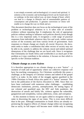is not simply economic and technological; it is moral and spiritual. A solution at the economic and technological level can be found only if we undergo, in the most radical way, an inner change of heart, which can lead to a change in lifestyle and of unsustainable patterns of consumption and production. A genuine conversion in Christ will enable us to change the way we think and act.

This document therefore does not focus on the technological roots of the problem or technological solutions to it. It takes note of scientific evidence without repeating that. It emphasises the role of appropriate policies without seeking to influence such policies directly (even though this is a very important task). It recognises a wide range of practical responses from individuals wherever they live and work, within various sectors of the economy and from various levels of government. Such responses to climate change are clearly all crucial. However, the document seeks to make a contribution that other sectors of society may not be able to do, namely to address the cultural, moral and indeed spiritual dimensions of the challenge that we are faced with. Since it recognises that Christianity (in South Africa and worldwide) is as much part of the problem as it may contribute to the solution, it focuses on that which is specific to the Christian tradition.

### **Climate change as a new Kairos**

It is therefore appropriate to see climate change as a new "kairos"  $-$  a moment of truth and of opportunity where our collective response will have far-reaching consequences. For Christians worldwide this poses a challenge, as the integrity of Christian witness and indeed of the gospel itself is at stake. In the midst of the struggle against apartheid in the 1980s Christians in South Africa also spoke of a "kairos" moment. This led to the publication of the *Kairos Document* in 1985. Since then we have been confronted with numerous other challenges – establishing democratic institutions, poverty, unemployment, the lasting legacy of our colonial and apartheid past, the HIV and Aids pandemic, the destruction of morals and family life, violence against the vulnerable, gangsterism and xenophobia, various addictions, crime, and corruption.

At this moment in history we are again called to recognise what is at stake in discerning the signs of our times. This is even more difficult than in the past. Although communities in South Africa are already experiencing the negative effects of climate change (often not recognising that as such), its full impact will become more visible only in coming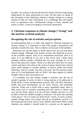decades. Our actions in the decade that lies ahead will have long-lasting implications for many generations to come. On this basis we speak in this document of the challenges related to climate change as a coming decade of truth for God"s household. It is a challenge that will require from us repentance and a fundamental change of heart, attitude and action, in short, a form of ecological conversion (*metanoia*).

### **2. Christian responses to climate change ("Acting" and the need for ecclesial analysis)**

### **Recognising the role of attitudes and perceptions**

In understanding what is at stake with regard to Christian responses to climate change, it is important to start with people"s perceptions and attitudes towards this issue. This is indeed a crucial part of the problem.

Relatively few literate adults in South Africa have not yet read about climate change. Although some sceptics remain who doubt the accuracy of the scientific reports, most of us comprehend intuitively what is at stake. It is not difficult to see why it has struck such a deep chord amongst ordinary people, including the very poor amongst us: we all like to talk about the weather. Those of us that have been here for many winters and those who observe the cycles of nature closely have noticed many small changes in weather patterns, in insects, plants and animal behaviour. And we wonder why this is the case. Are the ancestors angry with us? Is God displeased with us? Why? Are these signals of climate change? What is that conveying to us?

It is probably true that climate change is nowhere near the top of people"s agendas in terms of what is wrong and has to be addressed in South Africa. Crime, unemployment, poverty, HIV and Aids, education, health and rural development are far more obvious and immediate concerns. When one is faced with so many immediate needs, there is little room even to consider something that still seems so distant and way into the future. Many of us do not know whether and how we will be able to feed our children tonight or tomorrow. We know the meaning of the prayer: "Give us today our daily bread." Surely, in such a context, climate change seems very remote and not an immediate concern. It is like being advised to buy roses if your children need bread. Many would therefore ask whether it should really be a priority on the agenda of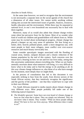churches in South Africa.

At the same time however, we need to recognise that the environment is not necessarily a separate item on the social agenda of the church but a dimension of all other issues. We cannot tackle anything without taking into account the intertwined issues of gender, finances, resources, health, education and the environment. While these may be separated at national level, in one"s own household one necessarily has to deal with them together.

Moreover, many of us would also admit that climate change evokes some silent but pervasive fears for the future. Most of us wonder what kind of world our children and grandchildren will inherit from us. While some may be excited about technological progress, climate change has placed a damper on any easy sense of optimism. We fear living on a hotter, drier, heavily polluted planet, under a more dangerous sun, with more people to feed, more refugees, more conflict over ever-scarcer resources and much beauty irrevocably lost.

Some consider apocalyptic images associated with the flooding of coastal areas, famine, rampant diseases and a drastic reduction of the human population by the end of this century. Such concerns over the future have a bearing on how we see and live our lives today, seeing that this uncertainty undermines almost everything else. When we are fundamentally uncertain about what tomorrow will bring, it is very difficult to know what to do today and to find the energy to do anything at all. In this way climate change influences us, also those of us who have enough for the moment, more deeply than we might think.

In the process of consultation that led to this document it was especially striking to hear from the youth, from diverse sectors of the South African society, that they intuitively recognise the significance and the gravity of the problem – one that they would have to cope with in their own lifetime.

Yet, South Africans respond to media reports about climate change in very different ways. Most people probably fall under one of the following typical responses:

*The blissfully ignorant:* Some have not even heard of climate change or have no clue what that is about. They are simply not informed. They do not know what it means. They wonder: "What are those people talking about? We have to live our lives anyway. What difference does it make to us?"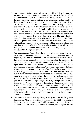- *The probable victims:* Many of us are or will probably become the victims of climate change. In South Africa this will be related to environmental refugees from elsewhere in Africa, increased competition for jobs, changing weather patterns in particular parts of the country, a lack of drinking water resulting from that, diminishing crop yields, diseases such as malaria becoming more widespread, rising food prices and transport costs. While the affluent may have the resources to overcome challenges in terms of food, health, housing, transport and security, the poor amongst us will be unable to attend to even our most basic needs. Those of us who are vulnerable therefore intuitively fear what climate change will bring. We know that we will be hit the hardest. We admit that we are scarcely in a position to worry about other forms of life – plants and animals on the brink of extinction – that are as vulnerable as we are. We feel that this is a problem caused by others and that they have to resolve it. Often we tend to dismiss climate change as a European, white, middle class matter. We are deeply angered and embittered by the injustice of it all.
- *The unapologetic:* Those of us who are part of the consumer class may be tempted to ignore or downplay the threats of climate change. Psychologically, we often feel numbed by all the challenges that we have to face and the many demands on our attention, including the media reports on climate change. We may take modest steps such as switching our light bulbs. However, our rampant consumerist desires usually trump any reduction of our carbon footprint. We compare ourselves with those who are wealthier than us and we therefore desire to have more – better salaries, bigger houses, smarter cars, more luxurious holidays, more air travel, more financial security, exotic foods and restaurant meals. Even though we may realise that each of these items will enlarge our carbon footprint, we find it easy to rationalise that on the basis of societal pressures. We regard our spending as necessary to cope with the tiring tempo of life. We seldom remember that not every human being on earth would be able to adopt a lifestyle comparable to our's – which would cause runaway climate change. We are sometimes more concerned about the impact of climate change on "nature out there" – where we enjoy to go to for holidays – than about those who are vulnerable much closer to our homes.
- *The frustrated up and coming*: Many of us grew up in relatively poor households. After the transition to democracy in 1994, we obtained better access to education and health services. We, or at least our children, therefore sense opportunities for better jobs, a higher income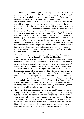and a more comfortable lifestyle. In our neighbourhoods we experience a strong upward social mobility. If we are not yet part of the middle class, we have realistic hopes of becoming that soon. When we hear reports on climate change we feel badly cheated. It seems unfair to us that everyone cannot be as affluent as the consumer class, because, we are told, it would simply not be sustainable. Some of us have only recently rejoiced in the moment when we could switch on a light bulb for the first time in our own home. Now we are told to switch it off. For the affluent candles may be romantic, for the poor it is a necessity. How can you save something that you have never had before? Some of us have not been able to afford a car before, but we hope to have one in future, especially if safe public transport does not become readily available. Why do we have to qualify the sense of an upward social mobility and why do we have to do it just now – when we are for the first time able to entertain hopes for a better future? We have to admit that we would have contributed to the problem of carbon emissions long ago if we had an opportunity to do so. We are angered because others had such opportunities which we did not have.

- *The righteous angry:* Some of us are deeply angered by the responses to climate change of those in decision-making positions in the global economy. We just shake our heads when we hear about wastefulness, injustices and the failure to recognise what is at stake. Our anger is perhaps a righteous anger but we may well be angry with ourselves. We tend to have a guilty conscience about our own environmental impact and our carbon footprint. We recognise the need for repentance and a fundamental change of heart, mind and lifestyle, but we find it hard to change. This is partly because of decisions we have already made in terms of housing, transport, food, education, health services and financial security. We are confronted with limits to what can be changed and especially can be changed rapidly. We do not live from the joy of God"s forgiveness and therefore we anxiously and frantically seek to save the planet through our own efforts – through conscientising others, through practical innovations or desperate activism.
- *The non-verbalising producers:* Some of us would argue that we are doing what we can to resolve the underlying problems in our society. We are economically active, regard entrepreneurship as crucial and find ourselves typically in positions of authority with a comfortable income. We create jobs for others on farms, in industry, business or through education. Although our personal carbon footprint may be extremely high indeed, we cannot allow ourselves to get bogged down by unhelpful feelings of guilt. We are non-verbalising producers, not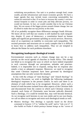verbalising non-producers. Our task is to produce enough food, create wealth, provide infrastructure and ensure economic growth. We have a larger agenda that may include issues concerning sustainability but cannot be restricted to that. If we have to increase the country"s environmental footprint in order to create jobs and help alleviate poverty, we would not hesitate. In fact, we would consider that to be our Christian duty. We are aware of the bigger picture around climate change, but can ill afford to make that our top priority at this time.

All of us probably recognise these differences amongst South Africans. We know all too well that our country is still marked by stark inequalities, despite 15 years of democracy, a constitution based on human rights and significant government spending on social services. However, most of us experience an inability to overcome such inequalities. The societal pressures and structures are so vastly complex that it is difficult to know how to address such inequalities. Thus we are tempted to allocate the blame for such problems elsewhere.

### **Recognising inadequate theological trends**

Environmental concerns such as climate change may not be a top priority on the social agenda of churches in South Africa. This should not blind us to recognise the ways in which we have indeed responded to such concerns through our perceptions, attitudes and practises. Indeed, it is impossible not to respond, seeing that no response also entails a (not so adequate) response. Moreover, we need to recognise that some Christian responses have been governed by theological assumptions that can only worsen the situation.

In line with the critique of "state theology" and "church theology" in the *Kairos Document*, we wish to highlight the following inadequate theological responses in the present context. In each case there is an element of truth which has to be recognised. However, where such a kernel of truth becomes isolated from other aspects of the Christian faith and disconnected from the context in which such Christian witness is situated, such forms of Christianity soon become radically distorted. Such a theology, if it could be termed that, may well become heretical. As we recognise such heresies in our own midst and in our own hearts, we call on others to recognise and resist such theological trends as well.

*Mastery theology*: This theology is typically based on the divine command in Genesis 1:27 to "subdue the earth" and to "rule over it". It also builds on Psalm 8 which portrays human beings as the "crown of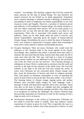creation". Accordingly, this theology suggests that God has created the entire universe for the sake of human beings. We may therefore use natural resources for our benefit as we deem appropriate. Sometimes such a mastery theology is softened towards a theology of dominion or stewardship in order to emphasise our human responsibility to use such resources wisely and frugally. However, a position of immense power and authority is still attributed to human beings. We entitle ourselves to rule over others, especially other species. We all too easily justify it to ourselves why we may kill and eat other animals or use them fo our experiments. Often this is associated with (adult) male power and authority. There can be little doubt about the need to exercise such human responsibility, especially given the impact of human-induced climate change. Nevertheless the way in which the place of humanity in God"s own creation is understood is arrogant, makes little cosmological sense and is easily abused to endorse unsustainable practices.

- *Escapist theologies*: There are many Christians who would resist the reduction of the Christian faith to the social agenda of the church. Accordingly, they emphasise that which is spiritual more than which is material, the soul more than the body, heaven more than earth, the life to come more than this life. This may well lead to a form of escapism where present realities are not addressed in the hope for the proverbial "pie in the sky when you die, bye and bye". The Christian message of redemption in Jesus Christ is understood as salvation *from* the earth and scarcely as the hope for the salvation *of* the whole earth. The God who redeems us has little to do with the God who created the world. At worst, such Christians are not concerned about climate change since they await the destruction of heaven and earth on religious grounds. They read reports on imminent catastrophes as ways of hastening the return of Jesus Christ to rescue the elect from this earthly "vale of tears". The looming threats of climate change, tipping points and nuclear disasters have provided ample images for such language. Such a message of doom and destruction typically elicits fear, not hope. Those who play on the fears of others are culpable and only strengthen the worst suspicions against Christianity amongst outsiders. Fear alone leads to an incapacity to confront the challenges. By contrast Christian hope also provides inspiration for Christians to work for the coming of God"s reign on earth, as it is in heaven.
- *Inculturation theologies in the context of consumerism*: Christians are not called to avoid that which is worldly. They may embrace various expressions of culture as given by God. This is especially the case in a context where African cultures were often portrayed as inferior. In such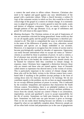a context the need arises to affirm culture. However, Christians also need to be vigilant and guard against any easy identification of the gospel with a particular culture. When a church becomes a carbon (!) copy of the consumer society in which we live, this would be to lose the critical edge of the gospel in a context of climate change. It is extremely easy to adapt the gospel to fit a society geared to meet the needs, wants and desires of religious consumers. Then we merely conform to the thought patterns of this age (Romans 12:2), an age of selfishness and greed. We will return to this aspect below.

*Blaming theologies*: The Christian notions of sin and of forgiveness of sins are sometimes criticised for being generalised. Some would say that we are all equally guilty and the gospel of forgiveness is therefore proclaimed to all. This fails to comprehend the ways in which domination in the name of the differences of gender, race, class, education, sexual orientation and species are so deeply embedded in our societies. Moreover, it is important to recognise how the victims of society tend to become psychologically numbed by decades of oppression. Oppression can easily become internalised when we accept our status as "inferior" citizens as ascribed by those in positions of power. In such a context, a bit of pleasure may provide some compensation for our inner hurt. As long as this hurt is not healed, the victims of society should clearly not be blamed for whatever little they contribute to climate change. In response, many Christians have suggested a distinction between those who are sinners and those who are sinned against. Jesus of Nazareth called sinners to repentance but showed mercy to the victims of society. This is particularly important in the context of climate change where those who will be the likely victims in the African context have contributed little if anything to the problem (except perhaps in the form of cutting down trees for charcoal, firewood or for farming). We do not contribute equally to the problem, nor do we bear an equal responsibility for we occupy different positions of power in society. This is indicated by the economic inequalities and injustices that characterise the South African context. Nevertheless, there is an unhelpful tendency to view victims necessarily as purely innocent, to always attribute problems to forces from the outside, beyond our control ("blame it on colonialism, imperialism, racism and apartheid"), never to accept responsibility for the ills of society. Sometimes we hold onto histories that we do not have. Sometimes we hold unto our pain because it gives us leverage. Then we do not really desire healing because our identity is so deeply shaped by what we can rightfully complain about. Moreover, people are all too often both victims and perpetrators (as in the case of gangsterism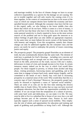and marriage trouble). In the face of climate change we have to accept collective responsibility as a species for the damage we are causing. We are in trouble together and will only resolve the coming crisis if it is done together. In the context of consumerism we have to be aware of the ways in which our rampant desires have fuelled the economy and have spiralled beyond control. Although the consumer class have led the way in this regard, sadly, we who belong to the lower middle class also desire that which we do not have. When it comes to a love of money, it may well be true that those who have it the least, love it the most. Here some pastoral sensitivity is clearly required to focus on the most serious sources of the problem and not to heap guilt upon the innocent or to induce feelings of guilt (that can only inhibit an appropriate response). At the same time we must fathom the secret corners of the human heart with honesty and integrity. Even this recognition, namely that climate change can only be addressed together (by the consumer class *and* the poor), can easily be used to underplay the priority of issues concerning justice and equity.

*The prosperity gospel:* The prosperity gospel flourishes on an element of truth, but also systematically distorts that the same truth. The element of truth here is gratitude for God"s blessings – including very concrete and material blessings such as enough rain on time, today and tomorrow"s bread on the table, protection on the roads, success with one"s studies, deliverance in times of crisis and enough income to live from. In certain instances money indeed can be the way in which God would bless people. For those trapped in poverty, to refrain from alcohol and drug abuse, visiting prostitutes, borrowing money and gambling, and at the same time to engage in honest hard work, spend money frugally, and be committed to the needs of one"s family may well lead to increasing prosperity in a material sense of the word. Who would deny that this is a concrete sign of God"s blessings? Moreover, the prosperity gospel may easily be misused to legitimise a sense of "upward social mobility". There are some of us who are for the first time entering the (lower) middle class in South Africa. We realise that we may not have received an adequate education, but that there are opportunities available for our children. If we can escape from the temptations of a culture of poverty, with some hard work and dedication, we can make it in life. We may soon be able to live in a suburban flat or house of our own, buy a car and perhaps become part of the consumer class. Pastors in such areas typically support such a sense of upward social mobility. They emphasise the role of talents and opportunities for education and training and speak of grabbing such possibilities as being God"s will. Although the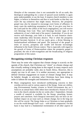lifestyles of the consumer class is not sustainable for all on earth, this theological undergirding for a sense of upward social mobility is again quite understandable, to say the least. It inspires church members to aim higher, to believe in themselves and thus to work harder so that they can reach the top (whatever that might mean). However, the prosperity gospel may also be misused to encourage overt forms of affluence. In many cases the underlying assumption is that, if you give your best to the Lord (and for the coffers of the local congregation), you will receive rich blessings from God. Thus such blessings become signs of the authenticity of one"s faith (and of the pastor"s leadership). If you do not receive such blessings, your faith is at fault. In such instances charismatic leadership often becomes abusive. That is when the prosperity gospel becomes heretical. It all too easily gives a divine blessing to institutionalised selfishness and greed. The portrayal of the gospel in terms of success, prosperity and wealth will become increasingly influential in the South African context. That is especially with regard to the growth of forms of Pentecostalism where the prosperity gospel is preached, the role of tele-evangelism and the broadcasting of religious programmes of this nature.

### **Recognising existing Christian responses**

There may be some who suppose that climate change is scarcely on the agenda of the church, that Christians are "silent" on climate change and that virtually nothing is being done in this regard. In many respects such assumptions are probably valid, also in South Africa. However, this is simply not true in all cases. It is neither necessary, nor appropriate to defend Christian engagement on issues of climate change here. It may be helpful, though, to articulate what Christians have been doing in order to fathom the strengths and limitations in this regard.

Many congregations have introduced earthkeeping concerns in their worship services and in various aspects of the liturgy. Some are celebrating Environmental Sunday (closest to World Environment day on 5 June) on an annual basis while others have introduced a Season of Creation in the church calendar (in the six weeks after 1 September). Already a wealth of material is available for the liturgy, preaching, hymns, prayers and catechism. Such liturgical innovation may not have an immediate impact on an issue such as climate change, but in the long run this will be crucial. The liturgy helps us as Christians to learn gradually to see the world through God"s eyes – with infinite compassion. On that basis it may lead to a fundamental reorientation of all other aspects of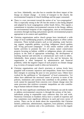our lives. Admittedly, one also has to consider the direct impact of the liturgy on climate change – in terms of transport to the church, the environmental footprint of church buildings and the paper consumed.

- There is a new movement toward the notion of an "eco-congregation". This is especially strong in the UK but the notion is also being adopted and adapted by local congregations within South Africa. This signals a commitment to introduce environmental concerns in the liturgy, address the environmental footprint of the congregation, raise an environmental awareness through teaching and promote specific environmental projects appropriate to its context and capabilities.
- Christian organisations and/or church groups have introduced a wide range of local earthkeeping projects, including projects to offset carbon emissions. These include projects such as tree planting, water harvesting, organic vegetable gardens, recycling, indigenous church gardens and "living graveyard campaigns". It also entails outdoor youth and family activities to promote the love of nature, nature conservation projects focusing on habitat, wildlife or indigenous plants, job creation projects in the field of appropriate technology, the development of teaching material and networks to communicate such work to others.. Admittedly, these projects remain all too few and far between, the organisation is often hampered by administrative and financial problems, while the negative impact of such projects on climate change (e.g. in terms of transport used) is often not factored in.
- Christian organisations and church structures at various levels have grappled with economic injustices and inequalities. Some have focused their energies in assisting the poor in very practical ways. Others have worked for the upliftment or "development" of local communities. Yet others have addressed the structural causes of poverty in terms of the policies, institutions and systems that contribute to the problem. Such work cannot be separated from concerns over climate change since the same processes that reinforce economic inequalities are also contributing to human-induced climate change.
- By far the most significant contribution that Christians can and do make to address environmental concerns is through the actions of the laity – individuals acting in responsible ways wherever they live and work. Numerous Christians in Southern Africa have a wealth of expertise and may sometimes exert significant influence in each and every sector of society. There can be no doubt about the responsibility that Christian farmers, politicians, administrators, engineers, town planners, architects and teachers – to mention only a few professions – have in this regard.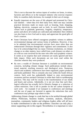This is not to discount the various inputs of workers on farms, in mines, factories and offices or in the transport industry who exercise responsibility in countless daily decisions, for example in their use of energy.

- Equally important are the ways of life adopted and promoted by Christian families – where they live their daily lives. Here one may consider practical decisions made on issues such as housing, food, shopping, lighting, electricity, transport and so forth. In such Christian families virtues such as gratitude, generosity, frugality, simplicity, temperance, justice and above all wisdom are cultivated and embodied. Here children can also learn to love God and to enjoy and appreciate the good gifts of God"s creation.
- Some Christians have offered courageous prophetic witness to address environmental damage and various forms of pollution. However, it has to be admitted that environmental activists have more often than not embarrassed Christians through their vigilance and commitment. It also has to be acknowledged that too many Christian resolutions, on climate change or on other matters, have called from a safe distance on others to act with no costs involved for the ones who offer such prophetic witness. It comes as no surprise that such witnesses are easily ignored and have little impact. Often such documents are not even read within the churches wherein they were produced.
- By now a wealth of Christian literature is available on environmental concerns, including climate change. Such publications include educational material, teaching resources and theological texts. Numerous church and academic conferences have been organised, papers produced and books published. This is certainly also true within the South African context. Such work has undoubtedly helped to raise environmental awareness and has assisted Christians to relate their faith to earthkeeping practices. This may well be crucial in the transformation of our minds and hearts and actions. Admittedly, it is not yet clear that such theological reflection has actually led to lifestyle changes or a reduction of carbon emissions. One is left to ponder on the net carbon footprint of such work – for example if air transport to conferences and meetings and the use of paper are factored in against the reductions that such conferences may perhaps urge others to take.

Addressing climate change is a task that has to be tackled through global efforts. Politicians, business leaders, scientists, analysts, educators, journalists, community leaders and religious leaders alike will all have to make contributions to take on the problem. Churches can only play a minor supporting role in this regard. Nevertheless it is important *to raise*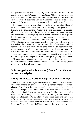*the question whether the existing responses are really in line with the gravity and the global scale of the problem*. Although these responses may be sincere and the admirable commitment shown, will this really be enough, even if everyone (or all Christians) were to follow such examples? Or is this, yet again, a matter of doing too little, too late?

It is important to recognise what is at stake in this question. Those of us in the urban middle class find it difficult to adopt a lifestyle that is not harmful to the environment. We may take some modest steps to address climate change – such as reducing the use of electricity, water, transport and chemicals, while recycling and re-using resources. Such steps are highly appropriate to challenge consumerist habits and demand considerable effort and dedication. However, a guilty conscience and a 10% reduction in resource usage would not nearly be sufficient, given the scale of the problem. By contrast, those of us who are poor lack the resources to alter our squalid living conditions and to steer away from the (comparatively minute) environmental damage that we do cause. We naturally desire to obtain more of the wealth that we observe around us – but we can scarcely be concerned about the impact that what we desire (but do not yet have and perhaps have little hope in getting) would have.

This question obviously requires some clarity on the causes, scope and scale of imminent climate change. In the next section on "seeing", these aspects will be investigated in more detail.

# **3. Investigating what is at stake ("Seeing" and the need for social analysis)**

### **Seeing the analyses of scientific experts on climate change**

There is no need here to repeat the analyses and predictions of scientists and other experts on the scope and the potential impact of climate change. A wealth of literature is available on that – in the media, in books and pamphlets and on the internet for those who have access. As Christians in South Africa we have the duty to familiarise ourselves with such material and keep ourselves updated according to our context and level of education. We therefore refrain from including any such information, also because we cannot claim the expertise to do so. We recognise that the widely endorsed reports of the Inter-governmental Panel on Climate Change (IPCC) are considered to be the most reliable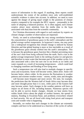source of information in this regard. If anything, these reports would underestimate the extent of the problem since only well-established scientific evidence is taken into account. In addition, we need to warn against the danger of giving equal weight to the positions of climate sceptics compared to for example the IPCC reports – presumably in the name of adopting a balanced position. As is often argued, such climate sceptics attract more attention from the media (due to the hype associated with that) than from the scientific community.

For Christian discernment with regard to such analyses by experts on climate change a number of observations are important:

Firstly, we need to acknowledge the very strong correlation between the concentration of greenhouse gases in the earth"s atmosphere and the global average surface temperature. In layperson"s terms, one may point out a widespread recognition that climate change is induced by human lifestyles and that global heating is more or less inevitable as a result of the greenhouse gases already emitted into the earth"s atmosphere. This is because the greenhouse gases function like a blanket preventing more of the sun"s heat from being reflected from the earth. Such a rise in the global average temperature leads to the melting of polar ice and glaciers and therefore to more water that becomes part of the weather cycles. It is also associated with a slow but sure rise in sea levels as ice melts and water expands as a result of increasing temperatures – which could lead to changing coastlines and flooding of low-lying areas.

Such a temperature rise will also lead to multiple changes in specific areas and ecosystems. Some will become wetter, others drier. Some will become hotter, others colder. In the process the fluctuations in weather patterns and extreme weather events – storms, winds, rains and droughts – will become more frequent and more severe. We note, for example, the predictions that the Western half of South Africa may become drier and more drought-prone than it is now, while parts of the Eastern half may become wetter. Such changes in the weather patterns will have an impact on all forms of life, including humans. Numerous species will not be able to survive drastic changes. Already we hear stories from within South Africa about the plight of rooibos farmers, the spread of malaria, flooding in KwaZulu-Natal, and problems everywhere related to food security. We are all faced with rising food prices and transport costs and wonder what is happening.

Secondly, we realise that such changes in the climate are extremely complex and have to be understood as a function of the cycles of carbon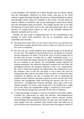in the biosphere. We breathe out carbon dioxide and we release carbon into the atmosphere whenever we burn wood, coal, gas or oil. Such carbon is again absorbed through the process of photosynthesis in plants and through carbon sinks for example in the ocean. On this basis we need to explain to ourselves why we are releasing so much more carbon into the atmosphere than previously. The simple answer has to do with the burning of fossil fuels such as oil, coal and natural gas. But it also focuses on cutting down forests as well as the methane released by domestic animals such as cows.

Thirdly, we also need to understand how we are contributing to the burning of fossil fuels ourselves. We do so sometimes more and sometimes less directly:

- We burn fossil fuels when we use coal or gas stoves, use electricity (in South Africa mainly derived from coal) or when we travel by car, taxi, bus, train or aeroplane.
- We buy and use various products that required energy to be produced for our sake. This applies to the food that we eat, the goods we consume and the appliances we utilise. The full life cycle of every product has to be taken into account. Consider the so called "embodied energy" in a can of soft drink: the energy required for mining aluminium, to transport the raw material to the factory, the considerable energy required for melting aluminium, the industries required to produce the soft drink, the packaging involved, the transport required to take it to a supermarket, the costs to build and maintain the supermarket, the refrigeration costs, the transport costs to take the soft drink to one"s home, the need for refrigeration there and the recycling of the can after its content has been consumed. In addition one has to consider the role of marketing the product and the extensive networks required. In each case the role of the workers and management staff overseeing the process also has to be factored in – including their business meetings, office space, and workrelated transport. Of course, such energy has to be divided for a single can of soft drink, but considerable energy is required for each aspect  $$ far more than the energy that it provides in the form of nutrition.
- A large percentage of energy is used on our behalf in the public sphere. Consider the construction of roads and railways, telecommunication services, streetlights, shopping malls, sports venues, airports, government buildings and educational facilities. In each case such energy is not used equally since the consumer class benefit from and make use of such facilities more than the poor. The poor suffer the negative effects of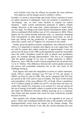such facilities more than the affluent do (consider the noise pollution from highways and the dangers posed to children"s safety).

Fourthly, we need to acknowledge that South Africa"s position in terms of carbon emissions is ambiguous. Since our economy is classified as a "developing" one, we have some freedom to expand our carbon footprint – under current international proposals to address climate change. However, at the same time, carbon emissions in South Africa are very high. According to the latest *Human Development Index*, South Africa contributed 436.8 million tons of  $CO<sub>2</sub>$  emissions in 2004. [These figures are for carbon dioxide emissions only, i.e. emissions stemming from consumption of solid, liquid and gaseous fossil fuels, as well as from gas flaring and the production of cement.] This makes South Africa the country with  $12<sup>th</sup>$  highest  $CO<sub>2</sub>$  emissions in the world!

Finally, given the global economic inequalities, also reflected in South Africa, it is important to translate such figures on a per capita basis. We are told by experts that carbon emissions of approximately 2 tons per person (on the basis of the 1990 world population) would be sustainable since the earth"s biosphere would be able to absorb such greenhouse gases, for example through photosynthesis. This has to be compared with the global average of 4.5 tons of carbon emissions in 2004/5. Moreover, since 1990 the world"s human population has increased from 5.2 to 6.7 billion. This difference between the current global emissions per person and sustainable emissions lies at the very heart of the challenge facing us.

Such figures still mask the inequalities in terms of carbon emissions. South Africa's carbon emission was 9.8 tons of  $CO<sub>2</sub>$  per person in 2004/5, up from 9.1 tons in 1990. This can be compared with 20.6 tons per person in the USA and 0.2 tons in Zambia. The share of the income and expenditure of the most affluent 10% of South Africa"s population of 47.5 million people (in 2004) was 44.7%. On this basis one may calculate their annual  $CO<sub>2</sub>$  emissions to be around 41.1 tons per person (if the use of energy in the public sphere is treated on the same basis). Even that hides the difference between children growing up in a consumer class home and their parents who travel far more extensively (usually because of work).

This explains why climate change has to be regarded as an issue of justice. Those who contributed relatively little to the problem will suffer disproportionally worse from the impact of the climate change. This becomes even more obvious if not only the current emissions per year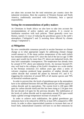are taken into account but the total emissions per country since the industrial revolution. Here the countries of Western Europe and North America, traditionally associated with Christianity, bear a special responsibility.

## **Seeing the recommendations of policy makers**

As Christians in South Africa we also have to take into account the recommendations of policy makers and analysts. It is crucial to familiarise ourselves with such policies. These generally cover two themes, namely 1) ways of reducing the greenhouse gases in the earth"s atmosphere ("mitigation") and 2) assisting those affected by climate change ("adaptation").

# **a) Mitigation**

By now considerable consensus prevails in secular literature on climate change as to what appropriate targets for addressing climate change would amount to. If the mean surface temperature of the earth (which has remained stable around 15ºC since the end of the last ice age 15 000 years ago) would rise by more than 2ºC above pre-industrial levels, this may have catastrophic consequences. The temperature has already risen by around 0.75ºC above pre-industrial levels. An increase beyond 6ºC may well lead to the collapse of the Earth"s biosphere on a scale similar to the Permian extinction 251 million years ago when a series of volcanic eruptions produced large quantities of sulphur dioxide and carbon dioxide that warmed the planet by between 6ºC and 8 ºC, triggering the extinction of around 96% of all [marine](http://en.wikipedia.org/wiki/Marine_biology) [species](http://en.wikipedia.org/wiki/Species) and 70% of [terrestrial](http://en.wikipedia.org/wiki/Terrestrial_ecoregion) [vertebrate](http://en.wikipedia.org/wiki/Vertebrate) species.

In order to prevent that, the levels of greenhouse gas in the atmosphere have to be stabilised between 450 and 490 particles per million (ppm) of carbon dioxide and its equivalents. The current level is 430 ppm (380 ppm for carbon dioxide itself) and this has been rising at 2.54 ppm over the last decade (1.8 ppm for the previous decade). The stabilisation of the levels of carbon dioxide and its equivalents around 550 ppm would imply a global average temperature increase of around 3ºC.

In order to achieve such stabilisation, the global greenhouse gas emissions have to be reduced by 2050 by at least 50% compared to 1990 levels. In order to allow impoverished countries to increase their use of fossil fuels, industrialised countries will have to cut their emissions by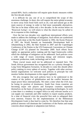around 80%. Such a reduction will require quite drastic measures within the first decade already.

It is difficult for any one of us to comprehend the scope of this enormous challenge. In short, this will require the entire global economy to move away from fossil fuels such as oil, coal and natural gas as the main sources of energy in order to find more sustainable alternatives. This has to be done within only a few decades. In the section below on "Renewed Acting", we will return to what the church may be called to do in response to this challenge.

Over the last two decades very significant international efforts were made to address the challenge of mitigation. Such efforts are symbolised by the work done at the Rio Earth Summit in 1992, the Kyoto Protocol of 1997, the World Summit on Sustainable Development held in Johannesburg in 2002, the Bali Summit in 2007 and the Copenhagen Conference of the Parties to the UN Framework Convention on Climate Change (COP 15) planned for December 2009. Such efforts focus rightly on appropriate policy making and the legal frameworks within which the challenge of mitigation can be addressed. Such policies cover a wide range of issues concerning energy and emission targets, economic production, trade, technology and so forth.

These crucial issues need not be addressed or repeated here. The South African government has recognised this as a priority through its Long Term Mitigation Scenarios. In decades to come this should affect policy making in every sphere of society. Together with other environmental organisations we welcome such policies in principle but will monitor further developments in this regard vigilantly.

We also recognise that such policies have to be understood in the context of the politics of globalisation and the conflict between the major power blocs internationally. We enter a time when the USA may be losing its position of dominance, South East Asian countries are becoming major role players and European countries reposition themselves on the basis of renewing and exporting technologies. In such a time there is a tendency to regard Africa as only relevant insofar as it can supply raw materials and offer markets to export surplus products. In a time of financial crisis the powerful first seek to safeguard their own interests. Finance for the implementation of the Millennium Development Goals is thus hard to come by. We therefore fear that such political interests will dominate the Conference of the Parties and trump concerns about mitigation or adaptation (see below).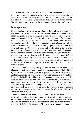Christians in South Africa are called to follow such developments and to exercise prophetic vigilance according to their position in society and level of education. We are grateful that the World Council of Churches has taken the lead in this regard through its task team on climate change. We will return to this aspect in the section on "Renewed action" below.

# **b) Adaptation**

Secondly, churches worldwide have been at the forefront of emphasising the need to assist victims of climate change. There is no need here to repeat the predictions on the impact of climate change. However, we do need to emphasise that a collective failure to meet targets for mitigation will of course make the task of adaptation much more difficult. Economists have observed that the impact of climate change may still be handled economically if the rise in average global surface temperature does not exceed 2ºC above pre-industrial levels. This is for example argued in the influential report by Sir Nicholas Stern and subsequently by many activist groups. However, more recently, analysts have warned that we may have to plan for a rise in temperature of around 3ºC and face up to the possibility of a rise of up to 6ºC, perhaps even by the end of this century. Since such changes would be completely unprecedented in the history of humanoid species, it would be very difficult to know what to expect.

At an international level, strategies will be required for adapting to changed climatic conditions – ranging from suggestions to build higher dykes in the Netherlands, policies to prevent the spread of malaria in southern Africa to the evacuation of some Pacific islands that would no longer be habitable. In addition to such adaptation measures, plans for disaster relief would be necessary. It will require budget reserves and appropriate plans to prevent disasters with the same devastating effects from occurring. Since such strategies are likely to remain insufficient, structures will have to be put in place to respond to more frequent requests for emergency help and to relieve the plight of millions of environmental refugees.

Such assistance and emergency measures are often thwarted when powerful institutions face an economic, financial or military/security crisis. Then the tendency is to attend to one"s own interests first. Thus, at a time of financial crisis as experienced in 2008, politicians tend to be more worried about the standard of living of their voters than about the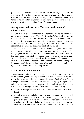global poor. Likewise, when security threats emerge – as will be increasingly likely due to conflict over scarce resources – these tend to override any concerns over sustainability. In such a context, when love tends to "grow cold", churches can and have played a crucial role in assisting the victims, including those of climate change.

# **Seeing beneath the surface: The structural causes of climate change**

For Christians it is not enough merely to hear what others are saying and doing about climate change. The task of "seeing" also requires from us to see what is beneath the surface, to gain deeper insight and to understand the structural causes of climate change. In order to heal the future we need to look into the past in order to establish who is responsible and what lies at the very roots of this threat.

One may say that the root causes are economic (given the environmental impact of the global economy), but also cultural (the ways of life that people have adopted that stimulate the economy). In both cases this has been deeply distorted by various forms of what we as Christians would call *sin* – violence, greed, pride, selfishness, domination and alienation. We need to recognise that discourse on climate change is influenced by a) the production, b) the distribution and consumption and c) the various ways of understanding wealth.

## **a) The production of wealth**

The excessive *production* of wealth (understood mainly as "prosperity") in the current global economy is based on a number of factors, spurred on by the rise of capitalism as an economic system. Each of these factors is deeply influenced by historic injustices and the legacy of imperialism, colonialism, classism, racism, sexism and cultural elitism. The factors that contribute to the production of wealth include the following:

- Access to energy sources (consider the availability and use of fossil fuels);
- natural resources, including various non-renewable resources and renewable resources such as water, soil, trees and plants and fish stocks (access to cheap sources was a driving force behind colonialism, remains crucial for many industries, leads to a current scramble for raw materials available in various African countries and are often mono-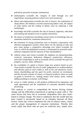polised by powerful economic institutions);

- land/property (consider the conquest of land through war and imperialism, ensuring political control over such resources);
- labour and employment (consider the role of slavery, the exploitation of cheap labour, the tendency towards outsourcing labour costs, the impact of trade unions and the cutting of labour costs by replacing it with technology);
- knowledge and skills (consider the role of research, ingenuity, education and training and unequal access to quality education);
- $\bullet$  the means of production (including various forms of technology that are sometimes beneficial, sometimes destructive);
- the formation of strong institutions such as business corporations with efficient management systems which allow for the sharing of risks and give some groups a competitive advantage over others (consider the ways in which the globalised economy is dominated by powerful multinational companies and the interests of their shareholders);
- cultural values and virtues (consider the emphasis on entrepreneurship, creativity, innovation, dedication, diligence, productivity, efficiency, innovative leadership) as well as economic drives (consider the quest for progress, success, fame, affluence);
- the availability of capital to finance large new projects based on previous profits (consider the role of credit, judgements on creditworthiness and interests paid on such credit) as well as the role played by investments, shareholding and the quest for profit, interests on investments and the lucrative transfer of money or financial products where no trade in goods is involved (i.e. making money from money alone, without adding anything to economic well-being);
- access to viable markets to sell products (influenced by legislation and trade agreements) and the stimulation of consumer demands through advertising.

This analysis is crucial to comprehend the factors driving climate change and the difficulties experienced in getting to grips with it. The same factors that have led to economic inequalities have also contributed to climate change. We need to emphasise that the wealth that has been created is necessarily based on an interplay between all these factors. Some may wish to emphasise the role of cultural values, virtues and the proper management of corporate institutions. Thereby they tacitly imply that those who are poor are relatively lazy, stupid, slow,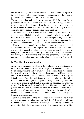corrupt or unlucky. By contrast, those of us who emphasise injustices typically focus on all the other factors, including access to the means of production, labour costs and unfair trade relations.

The problem is that such emphases become one-sided if the need for the production of wealth is underplayed and if we fail to recognise that all these factors are indeed required for the production of wealth. All too often ecumenical statements are not heard by those in positions of economic power because of such a one-sided emphasis.

The decisive factor in climate change is obviously the use of fossil fuels, but since this is itself a valuable commodity, it is shaped by all the other factors. It should be clear that climate change can only be addressed adequately by changing the ways in which wealth is produced. Here those involved in economic production have a huge responsibility.

However, such economic production is driven by consumer demand for economic products. This implies that climate change is a cultural matter – it is shaped by what and how much we buy, by our use of energy at home and at work and by the modes of transport we choose. Of course, the discrepancies between the purchasing power of the consumer class and the poor have to be taken into account in this regard.

## **b) The distribution of wealth**

According to the paradigm whereby the production of wealth is emphasised, it is assumed that, if the size of the proverbial economic cake can be enlarged, everyone will eventually receive a larger share. Accordingly, there will be a trickle down effect so that everyone will benefit in the end. Or, in President John F. Kennedy"s famous words, "A rising tide lifts all boats." Accordingly, it is not necessary to take from the rich in order to address the plight of the poor. As long as the living conditions of the poor improve, redistribution policies are not required. That will presumably be ensured by market forces. The dominant policies to govern the problem of distribution may be captured in terms of the development of more sophisticated technologies, training and education, economic and social development, international "aid" and peacekeeping where required.

Such arguments can point to the spectacular production of wealth over the past few centuries (alas, based on fossil fuels), from which millions of people have indeed benefited. However, this is typically based on the assumption that infinite economic growth (if measured in terms of bio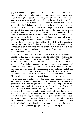physical economic output) is possible on a finite planet. In the discussion below we will return to the notion of limits to economic growth.

Such assumptions about economic growth also underlie much of the current discourse on development. To put the problem in proverbial terms: Discourse on economic development is typically based on the assumption that it is better to teach someone how to fish in the river or lake than to give that person a fish to eat. The problem is that indigenous knowledge has been lost and must be retrieved through education and training in innovative ways. This requires financial resources in order to obtain a fishing rod and other gear. Once this is in place, one needs to ensure access to the fishing waters and fishing permits amidst other powerful role players and international regulations. Once that is in order, one may be confronted with the problem of overfishing: the fish stocks are depleted and the fish that are caught have diminished in size. Moreover, even if sufficient fish are caught, it may be difficult to get access to appropriate markets in the midst of trade agreements and regulations that favour the powerful.

Once such limitations of the production of wealth are recognised, it should be clear that it will be impossible to resolve the problem of climate change without dealing with economic inequalities. The problem of the fair distribution of wealth should also be addressed. Those with a (neo-liberal) capitalist mindset have emphasised the production of wealth as a key to creating more wealth for all. By contrast socialists and trade unionists often take such production of wealth for granted, but call for a more egalitarian *distribution* of wealth through government intervention (including taxation and black economic empowerment). Here wealth is understood in terms of finances, land or resources.

It is important to acknowledge the underlying tensions between an emphasis on the production or distribution of wealth. More emphasis on production may lead to graver inequalities while emphasis on redistribution may inhibit incentives towards the production of wealth. It is far from clear what the best strategy for the redistribution of wealth might entail (financial aid, safety nets, social welfare, a basic income grant, economic empowerment, tax reform, public works programmes, education and training, fair trade agreements) and how these can be sustained in the long run. In light of economic inequalities and the injustices associated with that, Christians are called to emphasise the need for such redistribution, even though they may not have the expertise or be in the position to implement appropriate strategies in this regard.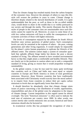Thus far climate change has resulted mainly from the carbon footprint of the consumer class. However the attempts of others to copy this lifestyle will worsen the problem in years to come. Climate change is therefore deeply related to the skewed distribution of wealth. It is quite understandable that the poor, as well as those in the so-called middle class, would desire to share in the wealth that is so visibly portrayed in our society and through the media. This merely illustrates that the lifestyles of people in the consumer class are unsustainable since such lifestyles cannot be copied by all. Moreover, in years to come those of us with low carbon emissions will have to suffer the consequences of the economic activities of those with higher emissions.

The levels of consumption enjoyed by the affluent (in South Africa) therefore raise serious questions of global justice. Such consumption levels can only be sustained at the expense of others – the poor, coming generations and other living organisms. It would simply be impossible for the planet's entire human population to replicate the lifestyle of the affluent centre. The solution cannot imply a system of consumer apartheid that upholds affluent binge habits but denies the poor a decent standard of living. The affluent seemed to have wreaked environmental havoc so that they might attain a comfortable and healthy lifestyle. They are clearly not in the position to caution others not to seek a comparable standard of living, giving as reason that it would jeopardise ecological sustainability.

In the global context, it may be true (and for many quite terrifying) that countries such as China and India may soon equal or surpass countries in Europe and North America in terms of total greenhouse emissions. However, those Western countries that have traditionally been associated with Christianity would scarcely have the moral authority to require from Asian countries to reduce their per capita carbon emissions to levels that are significantly lower than their own.

It should therefore be abundantly clear that climate change raises issues of justice concerning a fair distribution of wealth, opportunities, responsibilities and also of the global costs for adaptation to the impact of climate change. Current inequalities in this regard cannot be altered overnight. The term "historical emissions" is often used to indicate the total sum of emissions per country since 1800. In other words, one cannot merely take current emissions into account; historical and future emissions should also be factored in.

In ecumenical circles this has prompted the recognition of what is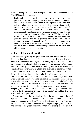termed "ecological debt". This is explained in a recent statement of the World Council of Churches:

Ecological debt refers to damage caused over time to ecosystems, places and peoples through production and consumption patterns; and the exploitation of ecosystems at the expense of the equitable rights of other countries, communities or individuals. It is primarily the debt owed by industrialized countries in the North to countries of the South on account of historical and current resource plundering, environmental degradation and the disproportionate appropriation of ecological space to dump greenhouse gases (GHGs) and toxic wastes. It is also the debt owed by economically and politically powerful national elites to marginalized citizens; the debt owed by current generations of humanity to future generations; and, on a more cosmic scale, the debt owed by humankind to other life forms and the planet. It includes social damages such as the disintegration of indigenous and other communities.

### **c) The redefinition of wealth**

This analysis regarding the production and the distribution of wealth indicates that there is a need, in the global as well as South African context to reconsider *our very understanding of wealth*. This has been emphasised in circles of what is termed the "new economics", in opposition to both capitalist and socialist thinking. On this basis many have explored viable alternatives to global capitalism as an economic system.

The argument is typically that neo-liberal capitalism will almost inevitably collapse because the production of wealth is not sustainable and because of the tensions associated with economic inequalities. This system cannot easily overcome economic inequalities because of the financial incentives to shed jobs. Economic growth can only lead to job creation if the pace of growth is faster than that of job creation. The recent worldwide financial crisis is thus regarded as a symptom of a deeper systemic problem that cannot be cured with governmental interventions to get economic growth back on track. The problem lies with the growth paradigm itself.

On this basis there is a need to learn from the successes and failures of specific economic experiments at a local and national level – for example in countries such as Tanzania, Sweden and Cuba. In "new economics" circles various supplementary strategies are proposed to correct the failures of the global economy. Often such strategies focus on self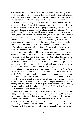sufficiency and available assets at the local level. Since money is often in short supply but time is equally distributed, parallel financial schemes based on hours of work done for others are promoted in order to stimulate economic activity aimed at the well-being of local communities.

In such discourse it is generally accepted that definitions of wealth in terms of the Gross Domestic Product are grossly (!) inadequate. It seeks to measure wealth in terms of what people produce, purchase, consume and own. It seems to assume that *what economists cannot count does not really count.* In response, wealth may be redefined in terms of other assets, including available resources, skills, relationships between family members and friends, support structures and community structures. Wealth is thus understood as well-being and not only in terms of money, possessions or prosperity. Indeed, the value of love, friendship, children and companionship can scarcely be expressed in monetary terms.

In traditional societies within (South) Africa wealth was measured in terms of the size of one"s land, the number of cattle that one owns and the number of one"s adult children. In our present context, as many have observed, wealth is indicated by certain status symbols: the house in which one lives, the cars in one's driveway, the clothes that one wear, the apparatus used and other even more luxurious material objects such as boats, holiday mansions or private jets. Others may prefer less tangible, more hidden but equally material indicators of wealth such as money in the bank or shares on the stock exchange.

Yet others who recognise that money is not everything prefer to focus on things that "no one can take away from you" (in a crime-ridden society). They therefore explore stimulating experiences such as luxuryious holidays, restaurant meals, wonderful concerts or even escapades with drugs, sex or occult practices. Sadly, those of us who are poor tend to follow the same pattern. We still place our hopes and desires on what money can buy and are keen to display small symbols of increasing wealth (such as stylish clothes or cell phones). Even though we have little, we would love to have much more.

There is no doubt that those who are deprived of access to nutritious food, adequate housing, health services, education and public transport would need to increase their consumption of energy in order to adopt a decent and humane way of living. However, there are indicators that, once the most basic needs are met, well-being is not determined by increasing income or expenses. What, then, does "the good life" entails? The factors that contribute to well-being are actually well-known: they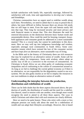include satisfaction with family life, especially marriage, followed by satisfaction with work, time and opportunities to develop one"s talents, and friendships.

Christian communities have an urgent need to redefine wealth along such lines. Nevertheless, we need to admit that it is easy to preach this to others, but more difficult to follow because there are always felt needs that we still hope to meet. Even the super rich and famous easily fall into that trap: They long for increased security and more privacy and seek financial means to ensure that. This also illustrates the need for renewed discussions on the distinction between *basic human needs* and unsustainable desires. How could the need for housing, transport, household appliances and consumer goods be addressed in a more sustainable manner? This is a crucial task, but cannot be undertaken in this document. Here we may well tap into indigenous knowledge and wisdom, especially amongst rural communities in South Africa. Some communities remain which have resisted the lure of the consumer society and have kept alive an alternative, more sustainable way of living.

In the Bible and in the history of Christianity there are rich resources that may be explored for an alternative notion of wealth. Some call for frugality, others for temperance. Some seek wisdom, others adopt an ascetic way of life as a corrective to the excesses of consumerism. As Christians in South Africa we are often guilty of condoning economic inequalities and of conforming to the culture of consumerism around us. As long as we fail to challenge the current global economy as if there is no alternative, we are responsible for the degradation caused to our ecosystems. We are also guilty insofar as we fail to employ the resources in our own traditions to adopt an alternative notion of wealth.

#### **Understanding the interplay between the production, distribution and redefinition of wealth**

There can be little doubt that the three aspects discussed above, the production of wealth, the distribution of wealth and the need for a redefinition thereof, stand in tension with one another, even though most would recognise the need to attend to all three these aspects. The ways in which Christians and others deal with such tensions are clearly different.

Here we need to be quite honest. Those who retire with a more or less adequate pension can easily talk about the need for a redefinition of wealth and can adapt their lifestyles accordingly. However, this is based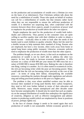on the production and accumulation of wealth over a lifetime (or even on the basis of an inheritance). Poor Christians seldom talk about the need for a redefinition of wealth. Those who speak on behalf of workers can call for a redistribution of wealth, but that remains rather facile when they are not responsible to ensure the sufficient production of wealth. It is therefore not surprising that, *when confronted with the tensions between these three aspects, people in positions of power tend to emphasise the production of wealth above the other two aspects*.

People emphasise the need for the production of wealth both individually and collectively. Thus parents in the consumer class are quite willing to sacrifice quality time with their children in order to obtain a better income – ironically often in order to look after the needs of the family (and to send children to quality schools). Many feel the need for a double income to help maintain their standard of living. Parents who are employed, but have a low income, often work away from home or spend long hours using public transport. Likewise, economic policies tend to emphasise the production of wealth more than the other aspects.

The problem though, as we saw above, is that such an emphasis on the production of wealth is not by itself able to address the other two aspects. In fact, this tends to increase economic inequalities. A 10% increase on a salary of R30 000 per year means R3 000 extra but on a salary of R300 000 it means R30 000 extra. Baking the cake is therefore one thing, cutting it is another. As it is often stated in ecumenical circles, the rich are becoming richer while the poor are becoming poorer. Many would add that the rich are becoming richer precisely at the cost of the poor – in terms of using their labour, monopolising the available resources, controlling the markets through trade regulations and advertising and selling processed products to the poor at a higher price.

The problem is that, even where unskilled workers may be able to increase their standard of living (and thereby their carbon footprint!), they tend to fall even further behind in terms of their education and skills. Moreover, many remain unemployed and after decades some have become unemployable. It should also be noted that such an emphasis on the unequal distribution of wealth thus underplays the significance of creativity, diligence as well as effective management and administration in producing wealth (which are emphasised by those in positions of power, perhaps rightly so).

In the face of climate change it needs to be stated again that such production of wealth is not sustainable. Infinite economic growth on a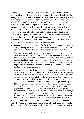finite planet cannot be sustained and is simply not possible. It is by now quite evident that this is the case pertaining to the use of fossil fuels for energy. We cannot increase the use of fossil fuels in the same way as we have done over the previous century. It would clearly not be possible in terms of the available resources. It would also be quite impossible in terms of the destructive impact that climate change would have on such economic activity in the long run. If every family in South Africa would own and drive a private vehicle, it would cause a nightmare scenario on our roads in terms of traffic jams, pollution and increased accidents.

Would it be possible to increase the size of the global economy and the global use of energy if more sustainable energy sources (solar, wind, water) are employed? Is it not true that human ingenuity seems to know no real limits? Here some discernment is required:

- Economists observe that, except for fossil fuels, non-renewable sources are still widely available and unlikely to be depleted soon. On this basis some argue that the notion of limits to economic growth is mistaken.
- The more serious problem is, somewhat surprisingly, the sustainable use of renewable resources. This has to do with the problems of soil erosion, depletion of soil fertility, sustainable forestry, over-fishing and of maintaining biodiversity. Even if we can find alternative energy sources, it could still be disastrous to enlarge the global economy in light of the impact that this may have on the sustainable use of renewable resources in other sectors of the economy.
- An even more serious issue is the absorption of waste products in the earth's biosphere. The biosphere has a remarkable ability to recycle waste products, but this ability is limited and takes time. The most serious example, as indicated by climate change, is the absorption of carbon dioxide (an odourless and colourless, and otherwise harmless, gas). People worldwide are currently emitting more greenhouse gases (4.5 tons per person per year) than what the biosphere is able to absorb (roughly 2 tons per person per year on the basis of the 1990 global population). Similar problems include municipal waste management and the recycling of toxic and nuclear waste. Alternative sources of energy may solve this threat although it may cause new problems. Solar energy, for example, could create problems related to the recycling of batteries. Similar difficulties plague electricity generated from nuclear sources.

One may therefore conclude that real and quite rigid limits to economic growth remain, at least if measured in terms of biophysical output and if based on fossil fuels as a source of energy. This recognition cannot be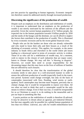put into practice by appealing to human ingenuity. Economic inequalities therefore cannot be addressed merely through increased production.

#### **Discerning the significance of the production of wealth**

Despite such an emphasis on the distribution and redefinition of wealth, it is important to understand that an emphasis on the production of wealth is not merely motivated by the interests of the affluent and the powerful. Given the current human population of 6.7 billion people, the expected rise in the human population towards 9 billion people by 2050 and the needs of the hungry and the destitute, we can ill afford to neglect the factors that contribute to the production of wealth. This is illustrated by every economic recession and by the recent global financial crisis.

People who are hit the hardest are those who are already vulnerable and who stand to loose their jobs and their houses as a result of the shrinking of economic activity. This applies, for example, to the motor industry in South Africa and elsewhere in the world where job losses leading to a downward spiral in terms of economic activity is evident. Those of us who call for a redefinition of wealth may, for a moment, wish to rejoice in the closure of such industries that are major contributors to climate change. We may call this "a blessing in disguise". However, we would then need to accept responsibility for the devastating impact that this may have on the lives of millions of families that are affected by such closures.

It should therefore be clear that the transformation of the global economy needs to take place in a well-structured manner in order to ensure the sufficient production of wealth (especially food) in the transition period. Systems could change overnight, but only on the basis of catastrophes (associated with fires, flooding, wind storms or earthquakes). Such catastrophes may become more frequent, precisely due to climate change, but it would be irresponsible to rejoice over them. All too often we tend to think that such a catastrophe would be the only means to enforce change. Even if that was true, it would be irresponsible for us as Christians to await it, to do nothing in the meanwhile and to put our hope in something like that.

A purist position on the redefinition of wealth is therefore ill-advised. It may be attractive to dream about an agrarian, pre-industrial lifestyle, but that may arguably only be possible for a global human population of less than two billion. Likewise, any calls for wealth redistribution have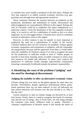to consider how such wealth is produced in the first place. Perhaps the first step required is to inhibit wasteful economic activities (e.g. gasguzzling cars) through taxes and appropriate incentives.

These comments illustrate the tensions between an emphasis on the production, distribution and redefinition of wealth. Discernment and ethical judgement are extraordinarily difficult in this regard. Perhaps the task of Christians could be to emphasise the aspect underplayed in a particular context. Given the dominance of the neo-capitalist economic order, it is crucial to call for a redefinition of wealth as this is so often neglected. As we will suggest below, Christians have much to contribute towards an alternative vision in this regard.

However, in other contexts it may be equally or more important to emphasise the need for a redistribution of wealth. In the Jewish-Christian tradition there are rich resources for prophetic critique against economic inequalities and expressions of solidarity with the vulnerable, the marginalised, the poor and the oppressed. Even then, it would undermine the credibility of Christian witness if we fail to recognise the need for the production of sufficient wealth to feed 6.7 billion people, to provide at least basic housing, means of public transport in urban areas and resources for health and education. In many rural contexts the production of sufficient wealth amongst impoverished communities (ensuring a sustainable livelihood) remains the primary responsibility.

# **4. Identifying the roots of the problem ("judging" and the need for theological discernment)**

#### **Judging the inability to offer an alternative economic vision**

Climate change has now been on the global agenda for more than two decades. Nevertheless, despite significant international efforts, greenhouse emissions have not yet been reduced. In fact, all indicators are that carbon emissions will increase over the next decade or so. Why is this the case?

Current initiatives to take on climate change are thwarted by at least four factors. Firstly, there is a need to recognise that levels of consumption and the use of energy, also of fossil fuels, are still rising amongst the consumer class alone. Affluence leads to apathy. Therefore a voluntary simplification of lifestyle seems to fall outside the desire of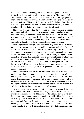the consumer class. Secondly, the global human population is predicted to rise from the current 6.7 billion to approximately 9 billion in 2050. In 2008 alone 139 million babies were born while 57 million people died, increasing the population by 82 million. Thirdly, the rapid expansion of the economies of China and India can scarcely be halted. Fourthly, the hope and aspirations of the world"s poor are understandably to attain the standard of living that they observe amongst the affluent.

Moreover, it is important to recognise that any reduction in global emissions, and subsequently in the concentration of greenhouse gases in the atmosphere, is impeded by accumulated decisions of the past. Here one needs to mention scientific data indicating the complex cycles of carbon in the biosphere – which implies that carbon dioxide emitted currently will continue to have an impact for decades to come.

More significant, though, are decisions regarding town planning, architecture, power plants, roads, public transport and other forms of infrastructure. Such decisions necessarily have long-term implications. For example, the expansive suburban areas virtually demand from those in the consumer class to have private modes of transport to get to work, school and church. This requires a whole network of roads, while public transport is often not used. Houses can be better insulated but this is not always easy, given the ways in which they are designed. To build new houses or refurbish old ones will also have a significant environmental impact. Coal-fired power plants are expensive to build and cannot be replaced overnight.

Further examples can easily be multiplied. The point is that social engineering, that is, changes to social structures (not to mention the entire global economy!) are usually slow and cannot be effected overnight. There are limits to the pace with which societies can respond to a challenge such as climate change. This raises a moral challenge, namely to respond now to an imminent catastrophe that is already evident, but will become increasingly clear only in decades to come.

To grasp the extent of the problem, it is important to acknowledge that the necessary information on climate change is accessible on the basis of numerous scientific reports. Moreover, technological solutions to curb human-induced climate change are readily available. There has been no lack of appeals to take the necessary steps. The reports of the Intergovernmental Panel on Climate Change have received as much media coverage as one would hope for. It has now become clear that to overcome climate change will demand far more than what science and new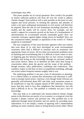technologies may offer.

This poses another set of crucial questions: How would it be possible to muster sufficient political will from all over the world to address climate change? Such political will is only possible on the basis of voter support and social pressure. In forming the opinions and attitudes of voters a far more widespread reorientation in civil society will therefore be required. Here the role of civil institutions (including churches), role models and the media will be crucial. How, for example, can the media"s support for economic growth on the basis of a bombardment of advertisements be re-orientated towards sustainable goals? How can consumer resistance against higher energy prices be handled? How can the consumerist habits, attitudes or aspirations of the world"s 6.7 billion people be re-orientated?

The true complexity of this issue becomes apparent when one realises that even those of us who have developed an acute environmental awareness often find it difficult to translate such an awareness into appropriate forms of action. All too often environmental problems seem so daunting and overwhelming that it is difficult to know where to start. A lingering gap lies between knowing that we face serious ecological problems and acting on this knowledge through our personal, political and social choices. Many of us therefore do little more than trying to conscientise others about the gravity and the scope of the problem – though sermons, talks, publications, workshops and conferences. That somehow makes us feel that we have accomplished something, although our actual carbon footprint remains roughly what it was.

The underlying problem is not just a lack of information or planning. It is a liberal fallacy to assume that information and education is sufficient to prompt moral action. Likewise, even though South Africans are generally well-informed about HIV and Aids, such awareness seems to be insufficient to stop the rampant spread of HIV-infection. Christians know that they need to love their neighbours like themselves, but still find it difficult to do so. The problem is evidently not just a lack of knowledge.

This may help us to understand why human-induced climate change points in the direction not merely of an *economic* or *ecological* crisis but towards a deeper *cultural* and *spiritual* one. This problem has to be addressed through moral *formation* and not merely by providing more *information*. It is not simply a matter of agreeing with a memorandum spelling out some common values or listing desired actions either. Moral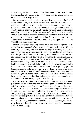formation typically takes place within faith communities. This implies that the ecological transformation of religious traditions is critical to the emergence of an ecological ethos.

We suggest that, at a deeper level, the problem may be one of *a lack of moral imagination, moral courage and moral leadership.* It is indeed a matter of moral vision. We need to envisage alternatives to the current global economic order that has caused climate change – alternatives that will be able to *generate* sufficient wealth, *distribute* such wealth more equitably and help to *redefine* our very understanding of what wealth entails. Such a vision needs to be attractive enough to motivate millions of people, to energise and mobilise action. Or to put it in other terms: The question is whether "a different world is indeed possible" – as the World Social Forum professes.

Several observers, including those from the secular sphere, have recognised the potential of the world"s religious traditions to offer the necessary inspiration, spiritual vision, ecological wisdom, ethical discernment, moral power and *hope* to sustain an ecological transformation. Religious traditions can offer the mystic motivation and enthusiasm for earthkeeping projects that no other secular or government initiatives can muster on such a wide scale. Religious traditions can provide what science cannot: they promise not only meaning, but also deliverance, healing, comprehensive well-being. Religions help to shape our attitudes toward nature in both conscious and sub-conscious ways. They provide basic interpretative stories of who we are, where we have come from, and where we are going. If moral imagination is required, regaining the role of religion in society may be crucial. Those forms of religion that have not become secularised in a technocratic society, for example from within the African context, may well lead the way.

Are the world"s religious traditions able to muster sufficient moral power and vision to turn the tide, to show a path out of the downward spiral of environmental degradation? Indeed, can religion really make a difference? It seems clear that this will require nothing less than a transformation of each tradition (preferably in terms of each own heritage and particularity). Given the complicity of Christianity in the crisis that we have to face globally, it should be clear that Christians will have to and may play a crucial role in coming to terms with the deepest roots of the crisis. We may engage with others to help find solutions, but we can only do so with integrity if we do not disassociate ourselves too eagerly from such complicity.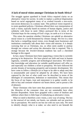#### **A lack of moral vision amongst Christians in South Africa?**

The struggle against apartheid in South Africa required clarity on an alternative vision for society. In order to replace a political dispensation based on racial segregation many of us worked towards a non-racist, non-sexist democracy in a unitary state. This political vision inspired us to resist apartheid policies. Christians offered their own interpretation of such a vision, typically based on notions of human dignity, justice and solidarity with those in need. Others portrayed this in terms of the Christian hope for the coming of God"s reign, on earth as it is in heaven.

This raises the question whether Christians can uphold an alternative moral vision in a world threatened by climate change. We live in a time that lacks a compelling moral vision, even though most businesses and institutions continually talk about their vision and mission. It is deeply worrying that we as Christians, too, so often seem unable to portray through our witness and action the alternative that is required. This is strange because the Jewish-Christian tradition has such a cherished heritage in this regard.

In fact, many Christians have been supporting a vision that is currently proving to be destructive. We have placed our faith and trust in human ingenuity, scientific progress and technological innovation. We believe that knowledge and education (or suitable qualifications) will offer us, and especially our children a ticket to prosperity. We have followed the secular dreams of increasing prosperity and economic development. We have come to follow a lifestyle (or to hope to be able to adopt one) that is unsustainable and cannot be adopted by all others. We have been captured by the lure of what could now be described in terms of the ideologies of consumerism, hedonism or materialism. This means that the focus of our hopes, trust and enjoyment is to gather wealth, to be able to buy and consume whatever our hearts desire, and to pursue a life of pleasure.

Those Christians who have seen that present economic practices and the lifestyles of the consumer class are not sustainable have often become despondent. Some have grappled with a sense of fatalism and nihilism where there is little hope of embodying an alternative vision.

What we need is therefore a new vision, a new way of seeing. The key to the renewal of our minds, our hearts, our attitudes and our practices lies in perceptions. We need to see but not with our eyes only. We need to identify sharply what is at stake; we also need to see beneath the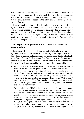surface in order to develop deeper insight; and we need to interpret the future with the necessary foresight. Such foresight should include the scenarios of scientists and policy makers but should also reach well beyond that. It should be based on the future that God envisages for the whole of creation

However such a vision is difficult to obtain when we are blindfolded by our own immediate interests and by the structures of violence in which we are trapped by our collective sins. Here the Christian liturgy and proclamation based on the biblical roots of the Christian tradition will be crucial to open our eyes. Through Christian worship we may again learn to look at the world around us through God"s eyes – with mercy and compassion.

## **The gospel is being compromised within the context of consumerism**

It is perhaps still understandable that we as Christians have been trapped by the lure of wealth. However, it is especially worrying that we are all too often interpreting and proclaiming the gospel accordingly. This leads to a form of cultural Christianity that fits snugly with the consumer society in which we find ourselves. Here we need to mention the following ways in which the gospel has been compromised in our midst:

- In a context where a wide variety of churches are available, we tend to consider churches to be places where our needs can be met. We Christians thus select a church that will cater for our needs, where we can find our preferred mode of worship and can associate with people with whom we feel at home. We tend to "go shopping" for a church where our felt needs will best be met and where we can "Pick & Pray" to our hearts content. Therefore churches are branded to suggest subtle differences in style – more or less in the same way that other products and services are marketed.
- Where religious affiliation becomes a matter of consumer choice, churches become vendors of religious services and goods. They seek to cater for the spiritual needs of their members and wonder what on earth could be wrong with such a calling. A commodity-orientated church stands in competition with other churches to deliver the best goods and to deliver those goods in a more digestible form than its competitors do. Religious service providers have current and potential customers and compete with other firms seeking to serve that market. Accordingly, the clergy are the sales representatives of the church; the gospel, church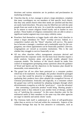doctrines and various ministries are its products and proclamation its marketing techniques.

- Churches that do, in fact, manage to attract a large attendance, complain that many worshippers are not members of that specific local church, that they only attend church when their needs are satisfied and that they are easily lured elsewhere. The pews may be filled but not with the same people from one week to the next. As a result the worship team needs to do its utmost to ensure religious brand loyalty and to market its own product. Those leaders of religious communities who are able to attract a significant market segment may even enjoy celebrity status.
- Preachers find themselves at logger heads with other local churches to attract a larger attendance for "their" worship services. Indeed, in a competitive market only the "fittest" churches will survive. The pastor has to become a manager, a marketer and a marketable asset for the congregation, one whose appointment can be financially justified. Likewise, congregations are viewed as economic institutions. This is the case whether they struggle to survive financially or not.
- All too often churches reflect management structures derived and  $\bullet$ adopted from the corporate world. On this basis local churches require a needs analysis, business plans and growth models adopted from corporate models. The business of the church should be under firm control of management (prompting uneasy questions about the guidance of Word and Spirit) and the objectives in the business plan should be measurable, even numerically so.
- The gospel has all too often been portrayed as a consumer product which has to be marketed. Accordingly, this product should be packaged in a way that would be attractive to religious consumers. Advertisers marketing their products have often adopted the evangelical fervour of Christian proclamation. Ironically and tragically, in a consumer culture the gospel may well be marketed by adopting strategies through which advertisements evangelise us with the "good news" – even the salvation! – that consuming a particular product would bring. Meeting people"s spiritual needs is thus reduced to just another form of therapy, another way of "satisfying the consumer". In this sense churches cater for the ministerial needs of their members in the same way that other agencies are eager to identify and satisfy clients' needs.
- The Christian faith itself is understood as a form of self-gratification rather than as service to God and within the community. Aspects of the Christian heritage that may be less attractive to consumers, such as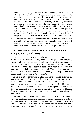themes of divine judgement, justice, sin, discipleship, self-sacrifice, are often toned down. By contrast, aspects of the Christian tradition that could be attractive are emphasised through soft-selling techniques (for example divine affirmation, grace, fellowship, love). Indeed, an experience-based form of religion (spirituality) can be a very marketable commodity. The market for such religious products (including gospel music, books, DVDs and so forth) is quite sizable, also elsewhere in Africa. There seems to be a large market for cheap religious products, but only a small niche market where the costs of discipleship are high. As the prophet Isaiah proclaimed, God may well be sick and tired of religious ceremonies that are devoid of a concern for justice (1:11-17)!

As a result, the ethos of all too many churches merely reflects a consumerist attitude. This constitutes yet another example where the church is tempted to bridge the gap between itself and the world by becoming more like the world – and losing its distinct message as a result.

## **The Christian faith itself is being distorted: Prophetic critique, idolatry and heresy**

In the context of apartheid some believed that the separation of people on the basis of race was the only way to ensure peace and prosperity. Accordingly, people were deemed to be so different that they cannot be reconciled with each other. The only way to protect one's own culture and way of living was to separate people from each other. Some thus *believed* in apartheid; they put their trust in it. To them it became a route towards *salvation*, for protecting their identity and safeguarding their social position and sense of "civilisation".

In the context of consumerism Christians have to reflect anew on the dangers of idolatry. We have to ask ourselves whether we have not been worshipping Mammon instead of God. Of course, no one would do so explicitly, but then (as Luther once noted) the object in which we put our faith in fact becomes our God. Several surrogates for trust in God have emerged: political power, quality education, access to swift technology, the power of positive thinking, marketing and, perhaps above all, the Market.

The Market has assumed several divine characteristics. It is supposed to be benevolent, invisible and omnipresent, even omnipotent in order to produce wealth and distribute benefits, costs and obligations to all. We are called to trust that the Market will indeed deliver, even where these results are not yet obvious. This even poses a consumerist version of the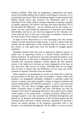theodicy problem: Why does an omnipotent, omnipresent and omniscient (if invisible) Market fail to deliver well-being to everyone, if it is in principle benevolent? Why do bad things happen to poor people if the Market should ensure that resources are distributed more or less equitably? In the South African situation education is perhaps regarded as equally important. We believe and hope that better education will in the end make the difference – for our children and for the country as a whole. No one would doubt the importance of education and training. Nevertheless one has to ask what has happened to the Christian conviction that the Way of the cross is the route to salvation. Exactly how are these forms of trust related to each other?

In light of these observations it is now becoming clear that climate change concerns more than an ethical issue. It is also a matter where the content and the significance of the Christian faith are at stake. To see this clearly we may again draw from the decades of struggle against apartheid.

Apartheid entailed more than just an oppressive political system, an unjust way of organising society or a brutal security machinery to repress resistance. As noted above, for some it became *the gospel,* a way towards salvation. In this form it infiltrated the churches as well, even churches that expressed prophetic critique against the then political system. Even today local churches are more segregated on the basis of race than most other sectors of society. Although there are no longer rules in place to enforce that, the differences of race, class and culture continue to separate Christians from one another.

When injustices are perpetrated in society and where this is done by the government of the day, this calls for *prophetic critique*. When such injustices are propagated, defended, condoned or practised within the church, it requires more than prophetic critique. It requires brotherly and sisterly admonishing, self-reflection, penitence, *a call to conversion and restitution*. This the *church* struggle against apartheid also involved. When Christians begin to believe that their well-being can only be ensured on the basis of separating themselves from others such a notion would require, as we noted above, *a critique of idolatry*. Where such a surrogate gospel is not only preached but defended theologically and offered as an adequate reinterpretation of the Christian gospel and the Christian faith, it becomes *a matter of heresy*. Apartheid was declared a heresy not merely because of the injustices associated with it, but because it was defended theologically. By the 1980s it was not so much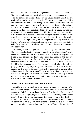defended through theological arguments but condoned (also by Christians) in the name of practical expediency and state security.

In the context of climate change we as South African Christians are again called to discern what is at stake. The gross economic inequalities and injustices, as well as the ecological destruction associated with the current global economic order, call for prophetic witness and resistance in order to express concerns over justice, peace and a sustainable society. In this sense prophetic theology needs to reach beyond the previous critique against apartheid. The issues around sustainability have helped us to recognise that the struggle against apartheid were sometimes all too easily watered down to the quest for material wealth for those who were previously disadvantaged and attaining access to the fruits of Western technologies, at least for a new elite. This recognition calls for a critique against idolatry as such, not only against domination and oppression.

Moreover, where the gospel itself is being compromised (within Christian churches) action beyond prophetic witness is required. Then it becomes a matter of Christian confession and of resistance against the heresies that continue to thrive also within our midst. In the past we have failed to see how the gospel is being compromised within a consumer culture in the ways we indicated above. The most overt way in which the consumer society is defended theologically is through the propagation of the prosperity gospel. However, as was the case with apartheid, it is also defended, condoned or practised in several other subtler ways. In the past we could see with clarity that any theological defence of the apartheid system amounted to heresy. *The very purpose of this document is to confront and expose new ways in which the Christian faith is being distorted in our midst*.

## **In search of an alternative vision of hope**

The Bible is filled to the brim with images of hope. One may consider the following images: the return from exile, the new Exodus, the reinstatement of God"s law, the hope for a new Davidic ruler, the coming of the Messiah, God"s just judgement over the evils of history, God"s peace (*shalom*) on earth, a new Jerusalem, the resurrection of the dead and indeed a new heaven and a new earth. Such hope is not based on a sense of optimism or on signs of development or progress. It is a hope that emerges, despite present realities, on the basis of faith in the promises of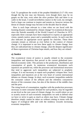God. To paraphrase the words of the prophet Habakkuk (3:17-19): even though the fig tree may not blossom, even though there may be no grapes on the vine, even when the olive produce fails and there is no cattle in the kraal, I would nevertheless rejoice in the Lord, my strength. Such a hope can continue to inspire and sustain us, however serious the threat of climate change may become in the decades that lie ahead.

How is such hope relevant in a time when we are faced with the looming disaster constituted by climate change? In ecumenical discourse since the Nairobi assembly of the World Council of Churches in 1975, especially three concepts have been employed to express an appropriate vision, namely justice, peace and a sustainable society. In each case this also indicates an appropriate social agenda for churches. These three concepts remain as relevant as ever before in the context of climate change. It is important to see how these apply to climate change, how they are radicalised due to climate change, what the deepest significance of these expressions of Christian hope entails, and how they are related.

### **a) Justice**

The ecumenical vision of justice is usually related to the economic inequalities and injustices that prevail in the current globalised (neoliberal) economic order. This pertains to the production, distribution and consumption of goods. In numerous ecumenical documents such injustices are pointed out, while the processes and institutional structures that tend to aggravate such inequalities are subjected to prophetic critique. It is not necessary to repeat such prophetic critiques here. Such inequalities and injustices are at the very heart of current international debates on climate change. In short, such economic inequalities underlie the consumer culture of the affluent and the relentless consumerist desires of the consumer class, but also of the desires of the middle class and the poor.

The rising levels of consumption, together with the production processes necessary to meet consumer demand for such products, may be regarded at one level as the root cause of climate change. In a world where we are so acutely aware of such economic inequalities we seek to defend what we have or strive to gain as much as others may have. Climate change therefore simply cannot be taken on without coming to terms with the legacy of ecological debt and with the tendency towards increasing economic inequalities.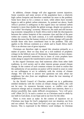In addition, climate change will also aggravate current injustices. Some countries and some sectors of the population have a relatively high carbon footprint and therefore contribute far more to the problem. Some have done so for a century or more, while others have recently begun to add to global carbon emissions. As pointed out above, South Africa"s position is ambiguous in this regard since our national carbon footprint is more than double the global average, despite our position as a so-called "developing" economy. Moreover, the stark and still increasing economic inequalities in South Africa tend to hide the discrepancies between the carbon footprint of the consumer class and that of the poor within our country. By stark contrast, it is well established in climate change discourse that the human victims of climate change will typically include those who have contributed least to the problem. This also applies to the African continent as a whole and to South Africa itself. This is an obvious case of gross injustice.

Christians are therefore right to regard this situation primarily as a matter of justice. Here we may draw on a rich tradition of prophetic critique in the biblical roots of Christianity. Sometimes we have domesticated these powerful memories but in times of crisis prophets have come along to unpack the transformative power of these stories.

In this regard Christians may find numerous allies from other faith traditions, in civil society and in other interest groups around climate change. In the context of such common witness we need to realise that the authenticity of our position on justice will be tested in years to come on our willingness to act in solidarity with the victims of climate change. We will have to answer new questions not only *about* our neighbours but also *from* our neighbours about the true meaning of neighbourly love.

As the World Council of Churches pointed out in a publication entitled *Solidarity with the victims of climate change* (2002), this will not be easy. As resources become scarcer, as conflict over such resources emerge and as countries defend their own interests, there is a distinct possibility that, under difficult circumstances, "love will grow cold" (Matt 24:12). In such a context we as Christians need to abide by our faith in God alone, in our hope and in our love for the other.

There is even more at stake: In the context of injustices we as Christians may hope for God"s judgement over our situation, our lives and our culture. We may hope for God's just reign, on earth as it is in heaven. This is expressed in the Hebrew word *mishpat*. In Christian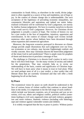communities in South Africa, as elsewhere in the world, divine judgement is often regarded as a source of fear and trepidation, not of hope or joy. In the context of climate change this is understandable. Our tacit acceptance of the legitimacy of prevailing economic inequalities, our consumerist lifestyles and aspirations and indeed our entire Industrialised civilisation will be confronted by God"s judgement, not merely by shallow human judgements. We have to examine ourselves to discern what would survive God's judgement. However, for Christians divine judgement is actually a source of hope. The victims of history cry out for a just verdict in the face of inequalities, injustices, oppression and extermination. In the context of climate change such victims include numerous other species whose habitats have been devastated through urban expansion and commercial agriculture.

Moreover, the long-term scenarios portrayed in discourse on climate change provide ample illustrations that such judgement over our lives, our economies or our cultures, may become frighteningly realistic and vividly concrete. How may Christians discern the benevolent judgement of the triune God in such predictions? There is ample room for prophets of doom and destruction to proclaim a message of fear.

The challenge to Christians is to discern God's justice in such a way that it will elicit fresh hope – for the many victims of society and indeed for the perpetrators. That may certainly help us to revise our understanding of the basis, content and significance of Christian hope. We will have to learn anew what it means to trust in God alone. What we need perhaps most of all is a just verdict, a clear verdict that will liberate those that are currently victimised and that will offer a fresh beginning for all on that basis.

#### **b) Peace**

The ecumenical vision for peace on earth should be understood in the face of various forms of violent conflict that continue to attract headlines in the media. It is important to list the full range of such conflicts – which include war between countries, acts of terrorism and war on terrorism, civil war, ethnic and religious conflict, political conflict (sometimes leading to civil war), organised crime and mob violence, gangsterism and street violence, domestic violence (including wife battering), rape and violence against vulnerable women and children.

It is widely recognised that the key to peace is *justice.* Without justice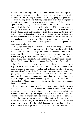there can be no lasting peace. In this sense justice has a certain priority over peace. Moreover, in order to sustain a lasting peace it is also important to ensure the participation of as many people as possible in decision making processes that may affect their lives. This is expressed in political views on democracy but also in an ecumenical discourse on a "participatory society" – as expressed in the motto of the Nairobi Assembly of the World Council of Churches in 1975. It should be noted, though, that other forms of life usually do not have a voice in such human decision making processes – even though their habitat and very survival may be dependent on it. As someone said in jest, if there were to be a parliament of all creatures where each would have one vote, its first decision may be to get rid of human beings given their threat to the survival of all others. The human species may be a species too dangerous to tolerate!

The vision expressed in Christian hope is not only for *peace* but also for *peace making*. This is far more complex. In the secular world this is understood in terms of categories such as mediation and conflict resolution. One may also refer to movements towards what Ghandi called *satthyagra*. This implies resistance against oppression through methods that show solidarity and compassion with the victims, but also honour the dignity of the oppressors and therefore refrain from violence.

In a Christian context there is a need to go beyond that, namely to explore what reconciliation in Jesus Christ entails. In human terms reconciliation is incredibly complex and includes aspects such as the accurate identification of the divisive issue at stake, the recognition of guilt, repentance, signs of remorse, confession of guilt, forgiveness, accepting forgiveness, embrace and appropriate forms of restitution. In light of ongoing discourse concerning the legacy of the Truth and Reconciliation Commission, it is not necessary to explore these aspects here in any detail.

It is at least important to understand that doing injustice always includes an element that can never be undone. Although restitution is often possible and necessary, there will always remain a deficit that cannot be addressed by the perpetrator due to the flow of time. For example, one can express remorse over a word that offended someone so that the impact of such a word could be minimised, but once such a word has been uttered, it can never be retracted. In other cases, for example rape or murder, the deficit between the harm done and what can be restored through acts of punishment or restitution will be much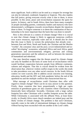more significant. Such a deficit can be used as a weapon for revenge but can also be tolerated, condoned, forgotten or forgiven. This also implies that full justice, giving everyone exactly what is due to them, is never possible. In this sense, peace and reconciliation surpasses the quest for justice. In history, and in South Africa, there have been many examples of people (including parents, community leaders and martyrs) who have demonstrated a willingness towards reconciliation despite the injustices done to them. To forgive someone is to deem the continuation of that relationship to be more important than the harm that was done to oneself.

How is this relevant in a context of climate change? Here it is crucial to note that climate change is likely to aggravate numerous conflicts over scarce resources, especially water and oil. It should also be clear that this issue is likely to worsen the polarisation that already exist – between East and West, North and South, the Christian and the Muslim "worlds", the consumer class and the poor, (over)-industrialised and socalled "developing" economies, urbanised Africa and rural Africa, gated communities and (environmental) refugees, previous and coming generations (ancestors and the unborn) as well as between the interests of humankind and otherkind.

One may therefore suggest that the threats posed by climate change can only be handled on the basis of some form of reconciliation which would facilitate cooperation between people from different continents, cultures and religions. That this is crucial should be evident from the observation that, wherever violent conflict erupts in the world, this tends to take precedence over any other social concerns. In the South African context we were scarcely able to address social concerns over housing, education, health and the HIV and Aids pandemic before the end of the apartheid era and the multiple conflicts that characterised that era.

What message of reconciliation could Christians then offer with regard to climate change? There can be no easy answer to this question. Firstly, those countries that have proportionally a high per capita emission of greenhouse gases are also countries where Christianity has historically been influential. Secondly, Christians with a large carbon footprint face other Christians with a smaller footprint across the table. While Christianity is associated with the affluent West, at least historically, in (South) Africa most church members are indeed poor and the likely victims of climate change. The problem is that such Christians, typically come to the table of international dialogue on climate change without having been reconciled with one another at the Lord's table.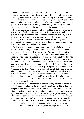Such observations may leave one with the impression that Christian views on reconciliation have little to offer in the face of climate change. That may well be what non-Christian dialogue partners would suggest. In international negotiations on climate change talks about quotas for carbon emissions, carbon trading and carbon taxes may be more appropriate. Here forgiveness certainly cannot imply condoning the ways in which some contribute to the predicament at the expense of others.

Yet, the immense complexity of the problem may also help us as Christians to finally realise that this is a situation way beyond our own power. It helps us come to terms with the fact that we are caught in the trap of a web of guilt, in what may be called structural or systemic violence; that we cannot escape from the sins of the past; that our own good intentions remain deeply flawed and that the impact of our actions may in future prove to be highly ambiguous.

In this regard it may become appropriate for Christians, especially those of us with a large carbon footprint, to confess our indebtedness to the triune God and not only to our victims. We may reach a point where *we will also need God's forgiveness*. This is the point where we may discover that what we require is beyond our own initiatives but not beyond God"s mercy. Here we need to realise the distinction between the church"s ministry of reconciliation and what Christ has done once and for all outside of us and on our behalf, not only in us and through us (Romans 6:10). This is where we may recognise that we need not be burdened with doing God"s work and understand that what holds the church community together is not common moral activity. This is were we need to acknowledge a fundamental asymmetry between divine and human action, an unbridgeable gulf between the work of Christ through which God reconciled the world to Godself (2 Cor 5:19) and our ministry of reconciliation.

The question is whether those of us with a large carbon footprint can indeed sincerely claim to be forgiven by God. Or is this perhaps the deeper reason why it seems so difficult to confess guilt in this case. Could it be that we sense we are not (yet) forgiven, not by ourselves, nor by others with a smaller carbon footprint, and perhaps not even by God? How can we continue with our consumerist lifestyles if we know what the long-term impact will be? Clearly, we cannot take it for granted that forgiveness by God will follow such a confession. We are not able to live from God"s forgiveness, as was noted above. Therefore we anxiously and frantically seek to save the planet through our own efforts –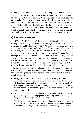through practical innovations, activism or through conscientising others.

By contrast, those of us with a smaller carbon footprint find it difficult to relate to such a sense of guilt. We are angered by the injustices that are at stake. This is why any confession of guilt by those with a large carbon footprint can only be done with integrity on the basis of reconciliation with other Christians and in the presence of the victims. This includes victims from other countries and people from other faith traditions. It also indicates how difficult it is to speak (in this document) with multiple voices over a common challenge and a common witness.

## **c) A sustainable society**

In 1975 the World Council of Churches included the phrase "sustainable society" in describing its vision and social agenda in terms of a "Just, Participatory and Sustainable Society". At that stage this was a new term indicating an emerging understanding of the notion of "limits to (economic) growth". In 1983 at the Vancouver Assembly of the WCC this was rephrased in terms of "the integrity of creation". Since then the concept of "sustainable development" came to be used throughout the world in order to recognise the need for "development" in some parts of the world, but also the need for such development to be sustainable. Since the meaning of such "development" is disputed, this led to ongoing debates on what "sustainable development" could mean.

In the context of climate change such reflections on issues of sustainability have become more urgent than ever before. It indicates that economic production and consumption simply cannot continue as usual. Why not?

- Firstly, we need to recognise the limited availability of some natural resources that provide us with energy. This is especially the case with oil, but also with natural gas, uranium and eventually also with coal. We will require alternative sources of energy sooner or later. It is unfair towards future generations to deplete such resources within the space of one or two centuries.
- Secondly, these resources are being depleted more rapidly than in the past due to a growing world population and rising levels of consumption per person, also amongst the consumer class.
- Thirdly, there is also an emerging recognition that *renewable* resources should be used in a sustainable way. This applies to the usage of land for agriculture, the fishing industry and the pillage of indigenous forests and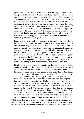plantations. These renewable resources will no longer sustain human beings (and other animals) if we misuse those resources with the result that the ecosystems would eventually disintegrate. The concept of "carrying capacity" and "environmental footprint" is often employed to calculate the hectares of farmland needed per person to sustain a particular lifestyle in terms of the use of organic resources (for food, timber, paper, cotton, etc). Indications are that the carrying capacity of the land is already exceeded – which may have disastrous consequences. This may be likened to a lifeboat. It is always possible to add another person to it, but beyond a certain point (called the plimsoll line) the boat will become increasingly unstable in turbulent waters. Eventually, it will necessarily sink if more weight is added.

- Fourthly, there is a need to recognise that the earth"s biosphere has a limited ability to absorb the waste products of an industrialised economy. Here one may consider anything from aluminium cans to plastics to nuclear waste. Every product can be recycled through natural processes, but in the case of nuclear waste it would take thousands of years. Precisely here climate change is quite relevant because the underlying problem is the biosphere"s limited ability to absorb greenhouse gases such as carbon dioxide (an otherwise harmless substance). It can be recycled, for example through the natural process of photosynthesis, but humans are adding carbon dioxide quicker than it can be absorbed.
- Finally, there is also a need to recognise the limited ability of societies to change rapidly. In the case of natural disasters (flooding, fires, earthquakes) we are forced to make quick changes. However, social transformation is necessarily a slow process. The large ship of the global economy can change direction but not overnight. This is precisely the challenge, namely to shift the energy basis of the entire global economy from fossil fuels towards sustainable alternatives. This will require an immense process of restructuring. This has to take place within a period of approximately 40 years – of which the first decade will be critical. Nevertheless, the decision to begin changing direction can be taken in a much shorter period. The *kairos* moment when the global human community needs to decide upon that is this year (2009) – in light of the Conference of the Parties to be held in Copenhagen in December 2009. Only on the basis of such a definitive decision (with clear targets) can the necessary steps be outlined and implemented to change the direction.

What does this have to do with the Christian faith? Christians have always recognised God"s providence, nourishment and sustenance. This is a not merely a statement about the availability of resources. It is a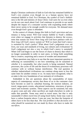deeply Christian confession of faith in God who has remained faithful to God's own creation even though we as a human species have not remained faithful to God. For Christians, the symbol of God"s faithfulness is the life and ministry of Jesus Christ. God cares for us even when we do not care much about God. God continues to provide in our needs despite the impact of a consumer society with expanding needs where there never seems to be enough wealth for everyone. We demand more even though God"s grace is abundant.

In the context of climate change this faith in God"s provision and sustenance is being tested. Will God remain faithful to Noah"s children even when we engage in activities that threaten to destroy the ecosystems that sustain our lives? How long will God have patience with us? How long will God's mercy sustain us? Will we learn that God's mercy is sustained by God"s justice? What about God"s judgement over our lives, our ways and standards of living, our cultures and civilisations? Is God's judgement not also a way in which God's mercy is sustained? When will God begin to use the forces of chaos to destroy that which is no longer sustainable in order to start anew, to bring forth something that is creative, surprising and a source of wonder and amazement?

These questions may help us to see that the most important question in reflecting on sustainability is not *how* something can be sustained or *whether* it is sustainable, but *what* exactly is being sustained. Natural processes, the cycles of life and the thrust of evolutionary processes will continue with or without human interference. The real question is whether industrialised civilisations can continue along more or less the same lines for another century or so. As many have recognised, what is at stake is the very foundations of our notion(s) of civilisation.

Embedded in this are questions about the sustainability of many aspects of contemporary society that those of us in the consumer class have become so used to: suburban housing, the tourism industry, air travel, mega-sports events, educational institutions, structures of governance and economic systems. These aspects can be sustained, but only at grave costs and only when sacrifices are made elsewhere in order to make that possible. Some may need to travel more, but that is only sustainable if others travel less (if using fossil fuels). Some may want to have a carbon footprint above 2 tons per year, but then the footprint of others have to be less than that. *The real problem is that decisions over what should be sustained are not made by those who have to make the sacrifices.*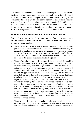It should be abundantly clear that the sharp inequalities that characterise the global economy cannot be sustained indefinitely. Not only would it be impossible for the global poor to adopt the standard of living of the consumer class; in a world with scarce resources the societal tensions associated with such inequalities cannot be contained. It will put an unbearable strain on local, national and international social services – for poverty relief, humanitarian aid, the handling of millions of refugees, disaster management, health services and education facilities.

### **d) How are these three visions related to one another?**

We need to recognise that these three aspects of an ecumenical vision are not always in harmony. In fact, it is quite evident that they are in tension with one another:

- Those of us who work towards nature conservation and wilderness preservation and who are concerned about environmental issues may be inclined to emphasise the integrity of creation above issues of justice and peace. We argue that we need to care for the earth in order for the earth to care for us. We insist that no economic activity will eventually be possible if it cannot be sustained in the long term.
- Those of us who are primarily concerned about economic inequalities and such injustices are afraid that global environmental concerns may shift the focus away from the plight of the poor and the destitute. We notice that those who are concerned about environmental issues and climate change all too often come from the consumer class. This may well be an appropriate form of "contextual theology" for the consumer class, but we tacitly feel that nature conservation is a luxury that those who have time and energy to attend to can worry about. It is far more urgent to attend to people"s immediate needs for food, shelter and medication currently than to worry about climate change decades from now. If life becomes a struggle for basic survival, as is often the case in Africa, it becomes increasingly difficult to resist environmental destructtion. While the rich may see beauty and grace in the movement of an animal, the poor may regard it as a necessary source of food. At the same time, we recognise that it is the poor who suffer the consequences of environmental destruction and that they (we) will become the first victims of climate change.
- Those of us in decision-making bodies at a local, regional and national level recognise the potential for conflict over scarce resources. We also see how various interests play a role in different strategies proposed to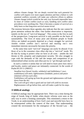address climate change. We are deeply worried that such potential for conflict will require ever more urgent attention and that a failure to curb potential conflicts currently will make any collective efforts to address climate change (which would be the only way forward) impossible later. In times of violent conflict (such as war), handling such conflict takes precedence over anything else. Then it becomes a matter of survival on a daily basis so that long-term survival seems trivial.

The tensions between these agendas also indicate that the one cannot be given attention without the other. One further observation is important, namely on the use of "survival language". This comes to the fore in each of the perspectives. Long-term survival is only possible on the basis of sustainability. The lives of many poor and destitute people in South Africa are indeed accurately depicted as a basic struggle for survival. Amidst violent conflict one's survival and meeting one's own immediate interests necessarily becomes the priority.

At the same time such "survival" language can easily be abused. Even those of us in the consumer class often slip into a "survival" mode. We do that by trying to protect what we have at all costs – amidst the real threats to life, property and employment security. We also struggle to cope with the demands of life and the tempo and competition of an industrialised urban society and often just try to "get through each day".

 In such a context it seems that we will need to learn anew how mercy and loyalty, justice and peace are intimately connected. In the words of Psalm 85:10-11 (NRSV):

Steadfast love [*hesed*, loyalty, solidarity] and faithfulness [*'emet*, truthfulness] will meet; righteousness [*tsedakah*, justice] and peace [*shalom*] will kiss each other.

Faithfulness will spring up from the ground and righteousness will look down from the sky.

The Lord will give what is good and our land will yield its increase. Righteousness will go before him, and will make a path for his steps.

# **A biblical analogy**

A biblical analogy may be appropriate here. There was a time during the reign of Josiah, king of Judah, when drastic reforms were seen as the only way to avert a looming catastrophe. This stimulated a return to the Torah, to an understanding of how God"s just and merciful laws have to be reinterpreted within the context of that time. That understanding created the environment for the emergence of the Second Law – the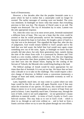book of Deuteronomy.

However, a few decades after that the prophet Jeremiah came to a point where he had to realise that a catastrophe could no longer be averted. The earlier messages of warning were not heeded. The crisis was imminent. In hindsight we know what that meant: that everything precious to him was lost. The dynasty of David came to an end. The temple was destroyed. The city of Jerusalem lay in ruins. Lament was the only appropriate response.

Yet, when the crisis was at its most severe point, Jeremiah maintained a different form of hope. This was not a hope that the crisis could be averted or that he would personally survive the looming catastrophe. Instead, he placed his hope in God alone. He bought a piece of land in a city that was to be destroyed. This signalled the hope that, after the day of judgement, God would remain faithful to God"s people and to the land that was laid waste; the belief that God would once again create something new out of the ruins. Again, in hindsight we know that this actually did take place, but only three generations later, namely during the time of the return from exile. It is portrayed by Deutero and Trito Isaiah as a new exodus, indeed a new creation. Yet, this new beginning was less spectacular than these prophets had hoped for. They therefore cast their eyes into the distant future, hoping for the coming of the Servant of Yahweh, the Messiah who would bring healing to the land.

The biblical analogy of Josiah would be more appropriate for our times than that of Jeremiah. It is not yet too late. We know that we have only a decade or so to take on the challenge. This would require a decisive change of direction, in biblical terms a conversion (*metanoia*), a change of heart and mind, towards a sustainable economy as well as such a lifestyle.

Later, hopefully much later, we may come to a point where our only hope would be that life on earth will again flourish, even if that may mean the extinction of our species. Of course, this would not be something to rejoice in or to even contemplate as a source of hope from our point in history. Later, hopefully much later, Christians may, through the eyes of faith, come to see such judgement – on our generation"s insane addiction to material wealth – in terms of God's loyalty to God's own beloved creation. This may help us to rest in God"s work – which is done in us, through us and even without us – and to heal us from a frantic activism where we try to save the planet through our own efforts.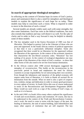### **In search of appropriate theological metaphors**

In reflecting on the content of Christian hope (in terms of God"s justice, peace and sustenance) there is also a need for metaphors and theological models to explain the significance of such hope for us today. These models may help to concretise such a vision. What is required in order to move in the direction of such a vision?

Several models are already widely used, each with some strengths, but also some limitations. Each has roots in the biblical traditions, but each also extends that tradition and may well distort it as well. For the sake of clarity and in order to find a way forward it may be helpful to identify some of these models:

- The key metaphor used in the Kairos Document of 1985 was that of *liberation*. This helped to portray God as the Liberator of those who are poor and oppressed. In the South African context of political oppression at that time it was a particularly influential metaphor. Some also recognised that there would be no liberation for the oppressed without the liberation of the oppressors. In the context of the economic injustices that characterise the neo-liberal economic order, "liberation" has lost nothing of its power. In the context of ecological degradation one may also speak of the liberation of the whole of God"s creation – to show that other forms of life also need to be set free from human domination.
- In the African context after 1990 several theologians suggested the metaphor of *reconstruction*. This builds on the reconstruction in the post-exilic period in Israel and emphasises the need for African countries to accept responsibility for (re-)structuring their own societies. Even though the imbalances and injustices of the global economy still require some form of liberation, it is futile to blame all societal ills on domination from the outside. What we need is also a spirit of cooperation, wisdom, energy and dedication in order to ensure good governance in every sphere of society. In South Africa this was of course understood in terms of the Reconstruction and Development Programme (RDP). Many would see such work as a sign of the coming of God"s reign, on earth as it is in heaven.
- In the mid-1990"s in South Africa many others explored the significance of truth and *reconciliation*, justice and restitution. Of course, this has to be understood in the context of the Truth and Reconciliation Commission"s work, the need to come to terms with the legacy of the past, the healing of memories, the task of nation building, land redistribution and many other aspects of restitution that are still required. The key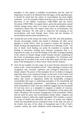metaphor in this regard is probably reconciliation and the need for forgiveness in order to be liberated from the legacy of the apartheid past. It should be noted that the notion of reconciliation has been highly contested – as is for example evident from the ways in which it has been discussed in the Belhar Confession (1982/1986) and the Kairos Document (1985/1986). As argued above, given the polarisation around climate change issues, there is no hope to tackle the problem without cooperative efforts that will require some form of reconciliation, also amongst Christians. We still need to rediscover the meaning of our reconciliation with God through Jesus Christ and the ministry of reconciliation that has been entrusted to us.

- Around the turn of the century the reality of the HIV and Aids pandemic became increasingly evident and started to dominate all other social agendas in South Africa. Soon we started to explore the meaning of health, *healing* and regeneration. We reflected on a theology of life – but also of death. Such healing can easily be extended to consider the healing of memories, healing from demonic possession that is so important for many of us and the healing of the land. Ecological healing in the context of climate change would certainly include a stabilising of the levels of greenhouse gases in the atmosphere. For Christians such healing may be ascribed to the work of the Holy Spirit, but then on the basis of the healing that we find in Jesus Christ and his ministry.
- Over the last number of years many of us have become attracted to the notion of the "whole household of God". *Oikos*-theology is based on the recognition that economic injustices and ecological destruction are deeply related. The power of this metaphor lies in its ability to integrate especially three core ecumenical themes on the basis of the Greek word "oikos" (household) – which forms the root of the quests for economic justice (the *nomoi* or regulations within the household), ecological sustainability (the *logoi* or underlying principles of the household) and ecumenical fellowship (*oikoumene* – participating as members of the entire household of God). One may therefore suggest that the household of God may serve as a metaphor to integrate a number of concerns, including the integrity of the biophysical foundations of this house (the earth's biosphere); the economic management of the household's affairs and the need for peace and reconciliation amidst ethnic, religious and domestic violence within this single household. This includes a concern for issues of health and education; the place of women and children within this household and an ecumenical sense of the unity not only of the church, but also of the whole of humankind and of all of God"s creation, namely the entire inhabited world (*oikoumene*). This raises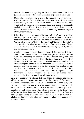many further questions regarding the Architect and Owner of the house (God) and the place of the church within this larger household of God.

- Many other metaphors may of course be explored as well. Some may wish to consider the metaphor of responsible *stewardship* – often emphasised by those in positions of power. This metaphor has been widely criticised and has become somewhat sterile since it seems unable to elicit a vision of hope. Nevertheless there can be no doubt about the need to exercise a sense of responsibility, depending upon one"s sphere of influence in society.
- Others find an emphasis on *sanctification* fruitful. We need to see how the Holy Spirit calls us as individuals, Christian families and Christian families to embody and practise God"s will for our lives and our world. We are called to be the "light of the world" and "the salt of the earth", a "holy people". The church may in this way offer a visible sign of hope, an alternative community, in a world characterised by injustices, conflict and unsustainable habits.
- Another important metaphor is the notion of divine *wisdom.* This may draw on the Hebrew notion of wisdom portrayed as a woman, on the Greek understanding of *Sophia*, on the Christian recognition that Wisdom has been incarnated in Jesus Christ (the Logos), in the Spirit of Wisdom that will lead us to Truth, on parallels in the wisdom literature of other religious traditions and on indigenous knowledge in the African context. There is an obvious need for considerable wisdom in the decision-making processes in the context of climate change. Such wisdom is best understood when born from recognition of the limitations of human wisdom and a sense of wonder when contemplating God"s wisdom in creation and history.

It is not necessary to choose between these theological metaphors, although some theologians have argued for the priority of, for example, liberation, forgiveness or wisdom. In the context of climate change we will probably need a whole array of such appropriate metaphors to guide us in our decision-making in a particular instance. These metaphors can supplement and correct each other. There is also a need for theological reflection on how these models are related to each other. At least we may welcome more than one such a model in order to discern the challenges that have to be taken on in order to embody and practise such a vision of hope.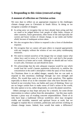### **5. Responding to this vision (renewed acting)**

#### **A moment of reflection on Christian action**

We now dare to reflect on an appropriate response to the challenges climate change pose to Christians in South Africa. In doing so we recognise a number of dangers:

- In acting anew we recognise that we have already been acting and that we stand to be judged before God, people of other faiths, citizens of other countries, future generations, other forms of life and especially the current and future victims of climate change, in our midst and further afield, because of inadequate actions taken.
- We also recognise that a failure to respond is also a form of disobedient response.
- We recognise that we cannot call upon others to respond appropriately with any integrity without the witness of our own paltry earthkeeping ministries.
- We need to remind ourselves of the danger that we simply repeat what others have said in terms of a checklist of do"s and don"ts that people can attend to at home and at work. Although we should add our voices to such calls, Christians can and should do more.
- We acknowledge that the only adequate response would be one which would lead the world"s human population collectively to stabilise the concentration in the earth's atmosphere within the space of four decades.

As Christians there is an added danger, namely that we can seek to respond to this enormous challenge through our own strength and efforts. We would thus seek to do God"s work ourselves. This applies especially to those of us in the consumer class who have become secularised in our everyday lives, our habits and ways of thinking. Since we are no longer certain how to make sense of God"s action in the world, the only option is to try, rather desperately, to save the planet ourselves.

Others amongst us may hope and pray for a miracle, for some divine intervention to reduce carbon from the atmosphere – but this may easily become a pious way of evading concrete responsibilities. Those of us who have kept a traditional African worldview alive may recognise visible and invisible, material and spiritual forces at work, but we struggle to explain this to scientists, politicians and activists working on climate change issues. Indeed, how would that make a difference?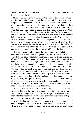Where can we discern the presence and transformative power of the Spirit of Jesus Christ?

Many of us have learnt to speak of the work of the church as God"s mission (*missio Dei*), not ours, or the church"s. God"s mission of earthkeeping is not dependent on us: It and can take place with or without us, or even despite our efforts. At the same time, we believe that God does not prefer to work without the church of Jesus Christ in South Africa. This, too, may easily become pious talk. The temptation is to use Godlanguage merely for decorative purposes. We pray for God's mercy and announce to the world that we put our trust and hope in God, without being able to make sense of what that actually entails. We therefore act as if we have to do what we can to save the planet ourselves. We fail to take our own message seriously. We reduce the gospel of God"s work in Jesus Christ to save the world from sin and destruction to the feeble call upon Christians and others to "make a difference" themselves. This danger has been aptly referred to as one of self-secularisation.

This is tragic, precisely because the church in this way fails to make a contribution that few other role players can do. Moreover, this kind of contribution is sorely needed in current discourse on climate change. As observed above, the problem is not a lack of information, or conscientising, or available technology. There have been more than enough prophetic calls upon people to respond. The deeper problem is one of a lack of moral imagination, moral leadership and therefore of moral will. We know that we need to do something, but find ourselves unable to muster sufficient courage and moral energy to do what is required. We need an attractive moral vision that can inspire Christians and others to do what needs to be done. Clearly, to play on people"s conscience, sense of guilt, fear, will-power, strength of character, positive thinking, obedience, dedication, or creativity will not be enough. Instead, we need to explore the rich vocabulary in the Christian tradition to offer a message that is so sorely needed to the world.

This, one may say, is a message of faith, hope and love  $-$  of trust in God's faithfulness to God's own creation, of faith in God's work in Jesus Christ through the power of God"s Spirit, embedded in God"s mercy for the victims of evolution and of human history and of hope in God"s promises to make all things new.

To use the language of grace in the context of climate change is of course dangerous because it has so often been abused. It has become cheap whenever we grab for ourselves more and more of God's gifts,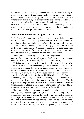more than what is sustainable, and understand that as God"s blessing, as grace bestowed on us. Grace can so easily become an excuse to justify our consumerist lifestyles or aspirations. It can also become an excuse whenever we fail to carry out our responsibilities – in the hope that God would rectify what has gone wrong through our laxity. Yet, an awareness of God"s abundant grace is perhaps the only message that can save the world, the only dynamo that can spur on Christian action. In this lies our last, most profound source of hope.

#### **New commandments for an age of climate change**

In the Jewish-Christian tradition God"s law is not regarded as onerous but as a source of wisdom, inspiration and joy. It provides a sense of direction, a rule for gratitude, that God's faithful may gratefully receive. It forms the way in which God"s transforming grace becomes effective in the lives of believers and Christian communities. In describing a set of new commandments for an age of climate change we therefore wish to portray them as signs of grace, not as a burden or a threat.

*1. Worship in the context of the Christian liturgy provides Christians an opportunity to see the world through God's eyes – with mercy, compassion and justice, especially for the victims of history.* 

Christian worship is sometimes criticised for being other-worldly. This is based on a misunderstanding. The orientation of worship is indeed on God alone. Here religion cannot be seen in purely functional terms as a handy instrument to be used for other purposes. However, it is precisely in seeing through God's eyes that we begin to comprehend something of God's vision for the world. This is based on God's mercy for sinners, for the poor, the oppressed, the marginalised, the vulnerable, the meek, the dying, the extinct and the victims of history. This is expressed through the Way of Jesus Christ. Here "orientation" may be taken literally as a focus on the Orient, on Jerusalem, on Calvary. This is a strangely attractive vision that can transform the world.

The beauty of Christian worship – of singing, dancing, preaching, witnessing, being together, appreciating the visual arts, including liturgical decorations – can help to change the world. It may be true that beauty is in the eye of the beholder and therefore is contextual. Yet, it is also important to observe that an inspiring vision can only be based on something that is attractive, that can *attract* people beyond the temptation of more and more consumer goods. This is especially true in a world of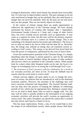ecological destruction, where much beauty has already been irrevocably lost. It is also true in impoverished contexts. The poor amongst us do not only need bread (a hunger that can be satisfied); they also need beauty (a hunger that can never be satisfied). After all, the poor are not only poor; they are also people. They are not merely objects of charity.

In the context of climate change there are ample opportunities to rediscover the significance of the Christian liturgy. We have already mentioned the Season of Creation (the Sundays after 1 September), Environment Sunday (closest to 5 June) and a range of other festive days, but every worship service provides such an opportunity. It may come as a surprise for some, but this may well be the primary responsibility that Christians have in a context of climate change. This is not something to be deemed onerous but joyful and celebratory. The focus is not on what we need to do, but on what God has done for us. Nevertheless, the liturgy may unleash an energy that can transform society according to God"s mercy. This energy is not derived from fossil fuels but from the power of compassion, epitomised by the cross of Jesus Christ.

Given this transformative potential of the Christian liturgy, it is deeply disturbing when the liturgy is merely geared to cater for the individual spiritual needs of church members along the pattern of other products and services which are marketed in the consumer culture. When people look for a place where their liturgical needs can be met, the focus is no longer on worshipping God or on seeing the world through God's eyes.

*2. The awareness of God's presence calls for celebration, for a break in our everyday activities, for times of rest. To keep the Sabbath may be exactly what the earth needs to restore itself.* 

Climate activists rightly call upon others to act, to change the structures of society, the policies that are introduced as well as the dominant economic patterns. However, the enormity of the challenge may well leave everyone exhausted and despondent. The Jewish-Christian tradition has kept alive the practice of keeping the Sabbath, of celebrating periods of rest, which may be appropriate here. Resting is counter-intuitive as we tend to think about what we need to engage with. Yet, this may well be what is actually needed as the interruption of our ongoing economic activities will provide the earth"s systems an opportunity to restore itself. The earth"s biosphere can absorb the carbon that is emitted but only slowly and if given a chance to do so.

This has many implications. Firstly, a day of rest would help to slow the tempo of an industrialised society where people always find them-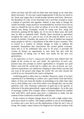selves too busy and left with too little time and energy to do what they deem necessary. To rest may sound inappropriate if one has too much to do. Some may argue that it would prompt laziness and laxity. However, the discipline of a day of rest interrupts one"s activities enough to cause a rethink of priorities and agendas. Indeed, it may help to change the world! Secondly, many practices recommended by activists focus not on what we should do, but on what we (those of us in the consumer class) should *stop* doing. Examples would be using cars less, using less electricity, putting off the lights, etc. If we rest in these ways, the earth may be able to replenish itself. Thirdly, those involved in agriculture recognise the value of a year of rest, to let the land lie fallow so as to restore its fertility. Fourthly, the notion of a Year of Jubilee has inspired many people to call for a cancellation of the debt of poor countries. This is crucial in a context of climate change in order to address the economic inequalities that characterise the current global economy. Since this is to be celebrated only once in 50 years, it provides the victims of history an opportunity to start anew but also with the responsibility of taking care of their own needs for the next two generations.

*3. An experience of God's compassion and mercy may indeed alter the plight of the victims in our own midst. An experience of such compassion may also prompt us (where applicable) to recognise our guilt before God and the world and to confess our sins of greed, our consumerist aspirations, our idolatrous clinging to what money can buy and our trust in the powers that shape the world. We can only cleanse the world if we are cleansed by the waters of baptism.* 

Confessing guilt is often seen as a burden. However, many of us have experienced it as liberating to confess one"s guilt before God and before others. It frees one from the burden of pretending to be other than what one is, from hiding one"s sins from others even though they can see that perfectly well. Any Christian confession of guilt has to be specific or otherwise it becomes generalised, vague and meaningless. As in the case of marriage conflict (for example where a husband infected his faithful wife with HIV), each person may have a confession to make, but the content of that confession would differ radically.

In the context of climate change those of us with a high carbon footprint have much to confess. The deeper problem is not an unwillingness to confess one"s sins, but to see the implications of that for one"s way of living. We simply cannot claim to be forgiven by God and continue with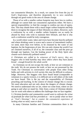our consumerist lifestyles. As a result, we cannot live from the joy of God"s forgiveness, and therefore desperately try to save ourselves through our good works in the area of climate change.

Those of us with a smaller carbon footprint may have less to confess, although we cannot hide our consumerist aspirations either. We have a special responsibility: to find the courage to confess our sins of aspiration. This may shame those with a much larger carbon footprint and help them to recognise the impact of their lifestyles on others. However, such a confession by us with a smaller carbon footprint can so easily be abused by those who wish to maintain their lifestyle, and that is why such a confession would be truly courageous.

In a world where water, lakes and rivers have become heavily polluted and where drinking water is scarce and a source of intermittent conflict, we need, more than ever before, to be cleansed by the water of one baptism, for the forgiveness of sins. We can only cleanse the world if we are cleansed ourselves, if all of us, the consumer class and the poor go through one baptism. Can the healing power of the Holy Spirit also cleanse such chemically polluted waters?

*4. Christians are called to be witnesses of God's mercy; they are beggars who in bold humility may show others where they have found bread – enough bread for the whole world.* 

As Christians we do not occupy the truth; at best we are witnesses to the truth. We do not possess the truth; at best we are possessed by the Truth. For Christians in conversation with people from other living faiths and with activists in civil society this may be difficult to acknowledge. However, like beggars who have found bread (comparable to witnesses to a sports victory), it is difficult not to tell others of the truth we have found. This is the joy and the responsibility of Christian preaching and teaching. In the context of climate change this is crucial. We need education and not only about the dangers of climate change. We need to understand who we are, where we come from, where we are going to and what we stand for. Only from a sense of Christian identity can we work with others to address the challenges that we face together.

*5. Christian families and communities would want to cultivate the virtue of gratitude for what God has provided us – not to justify what we have as "God's blessings", but to counter the consumerist experience of lacking what we need, want or desire.* 

In many Christian families and Christian communities there is the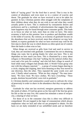habit of "saying grace" for the food that is served. That is true in the context of abundance and even more so in a context of scarcity and threat. The gratitude for what we have received is not to be taken for granted. In fact, Christian parents often struggle with the complaints of their children about what they do not wish to eat and what they would actually prefer to have. This is reinforced by consumerist desires and preferences and by a multitude of advertisements that suggest that ultimate happiness may be found through more consumer goods. This leads us to focus on what we lack, more than on what we have. The entire economy is built on this premise: how to produce and distribute wealth in the midst of scarcity. By contrast, an economy of gratitude focuses on the abundance that we have received, more than whatever we may lack. Indeed, to express gratitude for what we have received may well be the first step to check the way in which desires so often spiral out of control. Here the battle is often won or lost.

When things are received as gifts from God and used in service to God, they are enriched with gratitude. Contentment lies not in obtaining things you want, but in giving thanks for what you have. This is not dependant on how much you have. This is illustrated by a story about refugees in Mozambique who had "nothing but the tattered clothes they wore and a few pots for cooking" and who left their village in search of food while many villagers had already died. A World Vision group who met with the refugees reported: "… a group of women began dancing in a circle, singing and clapping, their faces beaming as they first moved in one direction, then the other. They repeated the same words over and over. I finally asked someone, "What are they singing?" The man translated, 'We have food. We have clothes. We have everything.' These people, destitute beyond belief, were rich in gratitude."

*6. Christian families and communities would want to cultivate the virtue of generosity in order to share in the abundance that they recognise they have.* 

Gratitude for what one has received, energises generosity to address the needs of others. If God has given us his Son and if the Son has given his life so that we may live, this cannot but stimulate a sense of reciprocity, a sharing of what we have.

For those of us in the consumer class this is often very difficult to comprehend. We are trapped in the logic of consumerism which always emphasises what we lack and what we are prompted to obtain. On this basis we are daily reminded of our unfulfilled needs and we therefore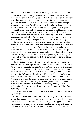crave for more. We fail to experience the joy of generosity and sharing.

For those of us working amongst the poor sharing is sometimes (but not always) easier. We recognise another danger. So often the affluent regard the poor as objects of pity and charity. We wonder what we could give the poor that would make a difference. Often the poor are kept at a distance in this way. The affluent thus wish to give without any suggestion that they may receive something from the poor. This is generosity without humility and without respect for the dignity and humanity of the poor. And sometimes those of us who are poor regard the affluent only as sources from where we can receive something. And then we become dependant on such gifts. We become beggars who undermine our own dignity and the dignity of the person from whom we are begging.

The virtue of generosity only makes sense in a context of sharing where there is reciprocity. It may be worthier to give than to receive, but sometimes the opposite is true. To be willing to receive and to be served makes us vulnerable to the other. To receive a gift is to owe a reciprocal response. Those of us who are affluent find this hard to swallow because we do not expect to be recipients of the generosity of a poor person. Those of us who are poor know that we have much to give, if perhaps not in monetary terms.

The Christian practice of tithing may well become redemptive in the context of climate change. Offering the tithe has an effect that is similar to keeping the Sabbath. In order to give 10% of one"s income (if necessary after tax) to God's work, people cannot be spending everything on themselves. To find 10% in an overextended family budget would imply that the family"s entire lifestyle would have to change. One"s monthly budget would need to revolve to a certain extent around the tithe. It then becomes impossible to merely expand one's own needs without seeing the needs of others. In this way we would give to God what belongs to God (which includes everything). However, tithing would not be redemptive if it emerges out of sense of duty. It can only follow from a spirit of generosity.

#### *7. Christian families and communities would want to cultivate the virtue of frugality.*

Amidst the consumer culture the virtue of frugality is often regarded as old-fashioned. Instead we are encouraged to spend in order to stimulate the economy. We need to do our duty as shoppers in order to encourage economic growth. In such a context the virtue of frugality is subversive, because this virtue counters the perception that humans are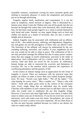insatiable creatures, ceaselessly craving for more consumer goods and seeking to maximise pleasure. It resists the temptations and pressures put on us through advertising.

Frugality implies thrift, moderation and contentment. It is not the same as simplicity, moral stricture or bigotry. That is illustrated by a famous story about Crates the Theban who cast all his goods into the sea because he thought that unless they were destroyed, they would destroy him. On this basis some people regard it as a virtue to permit themselves only bread and water. Instead, we may regard things such as food and clothes not merely as a matter of necessity; they are also a source of delight and of attraction.

Indeed, frugality may be associated with celebration and an affirmation of life – also amidst poverty, suffering, and degradation. Happiness, fun and games are not the prerogative of those who can afford it only. The festivities of the affluent will always be undermined by the surrounding suffering, starvation, and conflict. If your neighbours do not eat, you would not be able to sleep in peace. The celebration of life is not only prevalent amongst the affluent but also in many poorer communities that also engage in joyful celebrations, precisely in the midst of deprivation. Such celebrations call for a festive meal. In the midst of scarcity, food and drink are saved for the occasion. In celebration, human beings are able to transcend the scarcities and limitations of everyday life. Joy is the emotion which expresses the experience of overflowing abundance and the gratuity of life.

In the context of climate change such an appreciation for the virtue of frugality is crucial. There are numerous calls for practical steps that people can follow in order to lower their own carbon footprint (mitigation). We hear: "Switch your light bulbs," "Put off the lights," "Use solar heating for warm water," "Buy a smaller car," "Share a ride with others." Such calls make good sense in the context of the consumer class. Every single thing that an individual may do would help. Churches with members in such contexts have to add their voice to such calls, but would want to emphasise the joy that frugality brings. However, if you have only three light bulbs in your shack, it makes little sense to reduce your use of electricity. If you do not even have access to electricity, such calls make even less sense. Nevertheless, the virtue of frugality is in such a context even more important. All too often those of us who are poor become indebted because we yield to our desires for what we cannot really afford.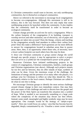*8. Christian communities would want to become, not only earthkeeping communities, but in themselves ecological communities.* 

Above we referred to the movement to encourage local congregations to become eco-congregations. Although this movement is still in its infancy, this is the way forward. This does not only imply that some earthkeeping projects be launched within the community. It also implies that the community itself be transformed in order to become an ecological community.

Climate change provides an acid test for such a congregation. What is the carbon footprint of the congregation if its building, transport to worship services and other ministries, use of electricity, use of paper and parsonage are taken into account? Does the liturgy, witness and teaching in the congregation actually lead members to reduce their carbon footprint? Does this make a difference? Such questions are far more difficult to answer for congregations located in suburban areas than in poorer areas. Here, then, is an opportunity where those who, of necessity, have a lower carbon footprint can teach others how this may be done.

*9. Since one Christian community or group cannot change the world through any specific project, it may be appropriate to select a project that can serve as a symbol for the transformative power of the gospel.* 

Numerous Christians have initiated earthkeeping projects in the context of congregations, Christian communities, families, youth groups and Christian organisations (see above). Although such projects remain far too few and far between, they do offer islands of hope, symbols of what can be done. Given the enormous scope of the challenge, the limitations of energy and the presence of so many other role players, it is perhaps wise for Christians to reflect on what they should do. This is necessarily relative to the local context. Perhaps Christians are called to do what no one else is doing.

We encourage Christian groups to identify the most serious challenge around climate change in their own immediate context. One may then pick one aspect of this challenge and seek to discern how the gospel and the power of the Holy Spirit can transform this situation into a symbol of hope. What is needed is not necessarily something at a large scale where the complexity of the situation may thwart our best efforts. Instead, some small, meaningful and highly symbolic steps may be more appropriate. One example would be the strategy of "adopt-a-spotnearby". Here one would focus on a place / area that has become heavily degraded, deeply contaminated by sin. Visualise a street corner infested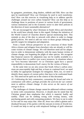by gangsters, prostitutes, drug dealers, rubbish and filth. How can that spot be transformed? How can Christians be used in such transformation? How can this exercise in visualising help us to address specific challenges around our own carbon footprint? How can this help us to challenge those in positions of power in various levels of government, various institutions and in the economic sector to alter their policies in the direction of more sustainable alternatives?

We are encouraged by what Christians in South Africa and elsewhere in the world have already done in this regard. Perhaps the initiatives of the World Council of Churches deserve special mentioning here. This reminds us also of the duty to network with others in order to change global policies. We need to add our voice to those groups lobbying for specific targets for mitigation and adaptation.

From a South African perspective we are conscious of those South Africa citizens and refugees from elsewhere who are already or will become victims of climate change. We will therefore need aid for adaptation in order to demonstrate solidarity with the many human victims of climate change, not forgetting the plight of other species. We recognise that financial sources for adaptation may not be readily available in a world where there is conflict over scarce resources. In situations wherever "love becomes lukewarm" we as Christians again have a special responsibility to demonstrate God's mercy for the victims of history.

At the same time we are also aware that South Africa"s carbon emissions are unacceptably high and that, at least at a national level, we need to lobby for appropriate strategies for mitigation. Here, too, we need to identify those aspects of current policy that have to be confronted headon. This need not be spelt out in the context of this document.

*10. Celebrating the holy communion, consuming the bread and wine in communion with others, perhaps provides the acid test for our commitment to address climate change. It also serves as the source of our energy to do so.* 

The challenges of climate change cannot be addressed without coming to terms with consumerism. However, it should also be noted that the Christian gospel does emphasise that which is material, bodily and earthly. There can be nothing wrong with owning money, with purchasing goods and with consuming products. We have to eat in order to live and we may enjoy that. After all, Jesus was called a glutton and a drunkard because of his parties with the outcasts in terms of Jewish law. It would not help to end up with misplaced feelings of guilt whenever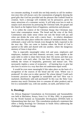we consume anything. It would also not help merely to call for moderation since this will always carry the connotations of gingerly denying the good gifts that God has provided and the pleasure that Godself found in creation. Such a message will evidently not be persuasive, given the many attractions of a consumer society. It will help even less to seek to surpass such attractions by portraying the Christian faith, the gospel and the church as the highest form of happiness, satisfaction and pleasure.

It is within the context of the Christian liturgy that Christians may learn what consumption means. The bread and the wine of the Holy Communion only make sense where one eats the bread with joy and when one drinks the wine with a merry heart  $-$  in relative abundance even when this takes place within the context of imminent threats. Jesus celebrated a meal with his friends even though he fully expected to die the next day. This can come to fruition where the Word of God is opened at the table and shared with one another, where the dangerous memory of Jesus is kept alive.

This is especially meaningful when rich and poor, employers and employees, madams and their domestic servants, come together at the same table in order to share their bread, their life stories and their joys and sorrows with each other. On this basis Christians may learn to embody the virtues of hospitality, generosity and mutual care. This necessarily implies a sense of reciprocity – of learning how to give but also how to receive in a way that does not undermine equal worth.

It would be even more meaningful if this takes place on the basis of a recognition of the sources of the bread and the wine. Where was it produced? At what cost to other species? By whose labour? Could such economic practices be regarded as sustainable and fair? How was it marketed, distributed, sold and purchased? In this way the Holy Communion may teach Christians how to consume all other products and to live in a sustainable way, with one another, on earth, and before God.

### **6. Doxology**

An African Regional Consultation on Environment and Sustainability was held at Machakos, Kenya, from 6 to 10 May 2002, in preparation for the World Summit on Sustainable Development (WSSD) held in Johannesburg later that year. This consultation produced a statement that offers a fitting doxology for Christians in South Africa addressing the challenges of climate change.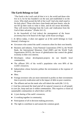### **The Earth Belongs to God**

"The Earth is the Lord's and all that is in it, the world and those who live in it; for he has founded it on the seas and established it on the rivers. Who shall ascend the hill of the Lord? And who shall stand in his holy place? Those who have clean hands and pure hearts, who do not lift up their souls to what is false, and do not swear deceitfully. They will receive blessing from the Lord, and vindication from the God of their salvation." (Psalm 24:1-5)

*In the household of God (oikos) the management of the house (economy) has to be based on the logic of the house (ecology).* 

*1. In Africa today, it does not appear as if the earth belongs to God. Instead, it belongs to:* 

- Governors who control the earth"s resources often for their own benefit;
- Business and industry, Trans-National Corporations (TNC's), the World Bank, the International Monetary Fund (IMF) and the World Trade Organization (WTO), the forces of globalization that control the global economy in their own interest;
- Developers whose development projects do not benefit local communities;
- The affluent 20% of the world's population who own 80% of the world"s resources;
- Industrialists whose factories pollute the environment at the expense of the poor;
- Men:
- Foreign investors who are more interested in profits on their investments than in poverty eradication and in the impact of debt on poor countries;
- The affluent and not the meek who will inherit the earth (Mt. 5:3-5).

*2. God has entrusted the land and all its natural resources to all people to care for, keep and use it within communities. This requires a vision of sustainable communities in which there will be:* 

- A just sharing of the earth"s resources;
- A working together in community;
- Participation of all in decision-making processes:
- The right to contribute to and sustain the common good;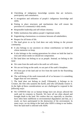- Cherishing of indigenous knowledge systems that are inclusive, participatory and consultative;
- A recognition and utilization of people"s indigenous knowledge and skills;
- Putting in place structures and mechanisms that will ensure the provision of a community's daily needs;
- Responsible leadership and self-reliant citizenry:
- Public institutions that address people's legitimate needs;
- Engendering a harmonious co-existence between all stakeholders;
- Respect for all forms of life.

*3. The land given to us by God does not only belong to the present community.* 

- It also belongs to our ancestors on whose contributions we build and whose memories we keep.
- It also belongs to the coming generations for whom we hold the land in trust and whose needs we should not compromise.

*4. The land does not belong to us as people. Instead, we belong to the land.* 

- We came from the earth and to the earth we will return.
- We are not living on the earth; we are part of the earth"s biosphere.
- We form part of the land and we live from the earth for the flourishing of the earth.
- The well-being of the earth transcends all of us because it is something bigger than our own interests.

*5. The land does not belong to itself. Ultimately, it belongs to its Creator, the One who sustains the Earth, and who will finally restore it. In the light of these considerations we are challenged to respond in the following ways:* 

We CONFESS that we as human beings have not always allowed the earth and its creatures to flourish. We have all too often abused and brought death to the land. We confess that we, especially as churches, have often been indifferent to environmental degradation and that, as a result, we have participated in the destruction of the environment. In many ways, we are doing to the land what AIDS is doing to our bodies. Now the land itself is infected with AIDS.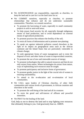- We ACKNOWLEDGE our responsibility, especially as churches, to keep the land and to care for it as the land cares for us.
- We COMMIT ourselves, especially as churches, to promote relationships that enhance and do not undermine sustainable communities. Therefore, we commit ourselves:
	- To promote the harvesting of water, especially in small community  $\bullet$ projects in arid or semi-arid areas;
	- To help ensure food security for all, especially through indigenous means of food production, and to avoid dependence on external means of agricultural production;
	- To promote practices that enhance the fertility of the soil;
	- To resist all forms of deforestation and to promote tree-planting;
	- To speak out against industrial pollution caused elsewhere in the light of its impact on geographical areas such as the African continent and the Island States that are particularly vulnerable to climate change;
	- To seek appropriate forms of waste management and to resist the disposal of toxic and other forms of waste in impoverished countries;
	- To promote the use of new and renewable sources of energy;
	- To promote technologies that add to natural resources and that do not only extract from nature. Where technologies do extract from nature, ways of replenishing such resources must be sought.
	- To promote participatory and inclusive forms of governance;
	- To promote gender justice in the light of the crucial role of women in ensuring sustainability;
	- To attend to the re-education and re-orientation of local communities.
- We CALL upon leaders of Christian churches, of other faith communities and various levels of government, in African countries and elsewhere in the world:
	- To promote the well-being of the land and all its creatures
	- To resist the greed and self-interest of affluent and powerful minorities.
- We PRAY for the healing of the land.

God, help us not to destroy the land and to stop fighting over resources that ultimately belong to you. God graciously hear us. AMEN.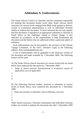## **Addendum A: Endorsements**

The South African Council of Churches and the committee responsible for drafting this document hereby invite other South African church structures (at various levels ranging from Bible study groups to diocese, synods or ecumenical organisations) as well as individual Christian leaders to endorse this document. To have endorsed this not only implies that this document is regarded as an appropriate statement to churches in South Africa on the challenges related to climate change. It also indicates an acceptance of the responsibility to help disseminate the document and the themes that are addressed within a particular sphere of influence.

Such endorsements may be forwarded to the secretary of the Climate Change Committee, of the SACC (Western Cape) at the following address: deon.snyman@telkomsa.net.

A list of endorsements will be appended to the electronic version of the document and made available by 1 December 2009. The following format will be used:

A) The South African church structures (at various levels) that are listed below have endorsed this document by 1 December 2009.

1. Name of church structure, denominational or ecumenical context (if applicable), town (if applicable)

 $2<sup>2</sup>$ 

3.

4.

B) The following Christian leaders, involved in ministries at various levels in South Africa, have endorsed this document by 1 December 2009.

1. Name and surname of individual, church affiliation, town/city

 $2<sup>2</sup>$ 

3.

4.

Other church structures, Christian communities and individual Christian leaders are invited to endorse the document also after 1 December 2009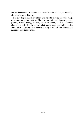and to demonstrate a commitment to address the challenges posed by climate change in this way.

It is also hoped that many others will help to develop the wide range of resources required to do so. These resources include hymns, prayers, posters, lyrics, poetry, DVD's, colour-in books, T-shirts, bite-size chunks for reflection in internet chat-rooms, and, especially, stories about what Christians have done concretely – with all the failures and successes that it may entail.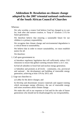# **Addendum B: Resolution on climate change adopted by the 2007 triennial national conference of the South African Council of Churches**

#### Whereas:

We who worship a creator God believe God has charged us to care for, look after and nurture creation, to "keep it" (Genesis 2:15) for future generations.

We therefore believe that ensuring a sustainable future for our children is a primary responsibility.

We recognize that climate change and environmental degradation is a critical threat to sustainability.

We believe that in order to ensure sustainability, we must establish justice for all.

We therefore:

1. Call upon government to:

a) Introduce regulatory legislation that will sufficiently reduce CO2 emissions to ensure that global warming remains below a 2o C rise;

b) End all subsidies to fossil fuel and nuclear energy generation;

c) Subsidize and promote at all levels – community, city, provincial and national – the development and building of renewable energy generation, achieving at least 15% by 2015; and

2. Urge our churches to:

a) Lobby for the above changes; and

b) Develop and disseminate resource materials and support training which encourages energy efficiency, the use of renewable energy and raises awareness about climate change.

We make this call in our response to God and for the sake of future generations who should not be disadvantaged by our irresponsibility.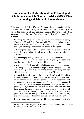# **Addendum C: Declaration of the Fellowship of Christian Council in Southern Africa (FOCCISA) on ecological debt and climate change**

WE, members of FOCCISA, from National Church Councils (NCCs) in Southern Africa, met in Maputo, Mozambique from 27 – 29 July 2009, under the auspices of the Economic Justice Network to reflect the engagement and the role of the Church on Ecological Debt and Climate Change;

**Carrying** the biblical responsibility to care for, nurture and creation, (Genesis 1:28 and 2:15, Romans 8:20-23) and conscious of the mandate to collectively work towards resolving the economic and ecological challenges confronting our people in the region;

**Affirming** the assertion that the church has a moral and theological responsibility to embrace its role of stewardship to lead in caring for creation;

**Acknowledging** our gratitude to God, whose providential care is immanent in creation and the renewal of all species, and cognisant that the voice of the Church carries with it moral authority;

**Aware** that the Earth, and all its inhabitants, human and non-human, are facing an unprecedented ecological crisis brought about by climate change, which has already brought mass suffering and loss of livelihoods for the vulnerable, particularly in Africa;

**Acknowledge and agree** on the concept of ecological debt which has been defined as: "... the accumulated, historical and current debt, which industrialized Northern countries – their institutions and corporations – owe to the countries of South for having plundered and used their natural resources, exploited and impoverished their peoples, and systematically destroyed devastated and contaminated their natural heritage and source of sustenance […] Industrialised countries are also responsible for the gradual destruction of the planet as a result of their patterns of production and consumption, and environmental pollution that generates greenhouse effects."<sup>1</sup>

**Deeply** concerned that our world and particularly Africa's

 $\frac{1}{1}$  In: *Ecological debt: The people of the South are the Creditors* edited by Athena K. Peralta, World Council of Churches 2008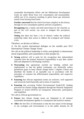sustainable development efforts and the Millennium Development Goals are under threat from over consumption and unsustainable, selfish use of its resources resulting in green house gas emissions mainly from burning fossil fuels;

**Further concerned** that the church has been complicit in this history through its own consumption patterns and lack of guidance;

**Recognizing** that a timely and bold intervention by the churches as part of the civil society can assist to mitigate this precipitous disaster;

**Noting** that there has been a lot of rhetoric within the political leadership rather than action to address the ecological and climate crisis;

Therefore, we declare as follows:

A. On the current international dialogue on the suitable post 2012 International Climate Change Treaty:

We call on the political leadership in Africa and globally to demonstrate moral responsibility and commitment to their peoples by;

- **Strong** political will to push for the recognition that industrialised countries have the primary historical responsibility to pay their carbon debt and adaptation to developing countries;
- **Warranting** that agreements reached are binding, ratified and implemented so that the global community can drastically reduce greenhouse gases to keep climate change below 2 degrees Celsius and distribute the burden in an equitable way in accordance with the principles of common but differentiated responsibility and respective capabilities;
- **Ensuring** that African negotiation teams are inclusive, well supported and resourced, both financially and in terms of expertise;
- **Ensuring** that accessing Global Environmental Funds/LDC funding processes for climate change adaptation through the National Adaptation Program of Action (NAPA) are transparent, democratic, participatory and simplified.

We call on African governments to:

- **Ensure** that climate change issues are integrated in all national sustainable development agenda in a transparent and inclusive manner;
- **Allow** the free flow of information so that the true nature of the damage to our ecologies and environments is in the public domain for all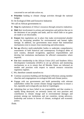concerned to see and take action on;

- **Prioritize** funding to climate change activities through the national budget.
- B. On Ecological Debt and Extractive Industries

We call on African governments to:

- Stop the exploitation of Africa's resources through extractive industries;
- **Halt** their involvement in actions and enterprises and policies that are to the detriment of our peoples and lands, and for which little or no gains are made or are discernable;
- **Ensure** that regulations are in place that make environmental plunder costly by increasing penalties for environmental and human rights damage. In addition, our governments must ensure that institutional mechanisms exist to ensure close monitoring and enforcement;
- **Set up** effective multi-stakeholder bodies to undertake comprehensive assessments of both historical and contemporary Ecological debts of each country, demand recognition, apportion responsibilities and develop fair restitutions mechanisms for affected communities where required;
- **Use** their membership in the African Union (AU) and Southern Africa Development Community (SADC) to set up advisory and monitoring mechanisms so as to ensure that all Member States are informed on models and practises with respect to natural resource extraction regulatory regimes.
- C. We, therefore commit ourselves to:
- Continue awareness-building and theological reflections among member churches and congregations on ecological debt and climate justice;
- Engage with our governments and build partnership with relevant stakeholders within the current climate change negotiations to ensure a fair, equitable and ecologically just deal in Copenhagen;
- Admitting that we have failed in our responsibility and that creation is rapidly being destroyed, we seriously assess our own practises and contribution to climate change and to environmental damages and promote among our institutions and our countries, strong advocacy, leadership and actions in favour of climate, ecological and economic justice.

/Ends.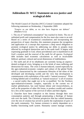## **Addendum D: WCC Statement on eco-justice and ecological debt**

The World Council of Churches (WCC) Central Committee adopted the following statement on Wednesday, 2 September 2009:

"Forgive us our debts, as we also have forgiven our debtors" (Matthew 6:12)

1. The era of "unlimited consumption" has reached its limits. The era of unlimited profit and compensation for the few must also come to an end. Based on a series of ecumenical consultations and incorporating the perspectives of many churches, this statement proposes the recognition and application of a concept that expresses a deep moral obligation to promote ecological justice by addressing our debts to peoples most affected by ecological destruction and to the earth itself. It begins with expressing gratitude to God, whose providential care is manifested in all God"s creation and the renewal of the earth for all species. Ecological debt includes hard economic calculations as well as incalculable biblical, spiritual, cultural and social dimensions of indebtedness.

2. The earth and all of its inhabitants are currently facing an unprecedented ecological crisis, bringing us to the brink of mass suffering and destruction for many. The crisis is human-induced, caused especially by the agro-industrial-economic complex and culture of the global North, which is characterized by the consumerist lifestyles of the elites of the developed and developing worlds and the view that development is commensurate with exploitation of the earth"s "natural resources". What is being labeled and co-modified, as "natural resources" is all of creation – a sacred reality that ought not to be co-modified. Yet the Northern agro-industrial-economic complex, especially in the current era of market globalization, has used human labour and resourcefulness, as well as the properties of other life forms, to produce wealth and comfort for a few at the expense of the survival of others and their dignity.

3. Churches have been complicit in this history through their own consumption patterns and through perpetuating a theology of human rule over the earth. The Christian perspective that has valued humanity over the rest of creation has served to justify the exploitation of parts of the earth community. Yet, human existence is utterly dependant on a healthy functioning earth system. Humanity cannot manage creation.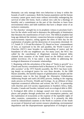Humanity can only manage their own behaviour to keep it within the bounds of earth"s sustenance. Both the human population and the human economy cannot grow much more without irreversibly endangering the survival of other life forms. Such a radical view calls for a theology of humility and a commitment on the part of the churches to learn from environmental ethics and faith traditions that have a deeper sense of an inclusive community.

4. The churches" strength lies in its prophetic witness to proclaim God"s love for the whole world and to denounce the philosophy of domination that threatens the manifestation of God"s love. The biblical prophets had long ago deduced the intrinsic connection between ecological crises and socio-economic injustice, railing against the elites of their day for the exploitation of peoples and the destruction of ecosystems (Jeremiah 14: 2-7, Isaiah 23: 1-24 and Revelations 22). Based on Jesus" commandment of love, as expressed in his life and parables, the World Council of Churches (WCC) must broaden its understanding of justice and the boundaries of who our neighbours are. For many years, the WCC has called for the cancellation of illegitimate external financial debts claimed from countries of the South based on the biblical notion of jubilee (Leviticus 23). It has taken a step further in addressing the ecological dimension of economic relationships.

5. Beginning with the articulation of the ideas of "limits to growth" in a Church and Society consultation held in Bucharest in 1974 and "sustainable societies" at the 1975 Nairobi assembly, the WCC has been working deeply on ecological justice for over three decades. At the 1998 Harare assembly, the harmful impacts of globalization on people and the environment came to the fore through the Alternative Globalization Addressing People and earth (AGAPE) process, leading to the ongoing study process on Poverty, Wealth and Ecology. As an offshoot of these important ecumenical reflections and actions, the WCC, in partnership with churches and civil society organizations in Southern Africa, India, Ecuador, Canada and Sweden, initiated work on ecological debt in 2002.

6. Ecological debt refers to damage caused over time to ecosystems, places and peoples through production and consumption patterns; and the exploitation of ecosystems at the expense of the equitable rights of other countries, communities or individuals. It is primarily the debt owed by industrialized countries in the North to countries of the South on account of historical and current resource plundering, environmental degradation and the disproportionate appropriation of ecological space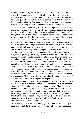to dump greenhouse gases (GHGs) and toxic wastes. It is also the debt owed by economically and politically powerful national elites to marginalized citizens; the debt owed by current generations of humanity to future generations; and, on a more cosmic scale, the debt owed by humankind to other life forms and the planet. It includes social damages such as the disintegration of indigenous and other communities.

7. Grounded on an overriding priority for the impoverished and a deep moral responsibility to rectify injustices, ecological debt lenses reveal that it is the global South who is the principal ecological creditor while the global North is the principal ecological debtor. The ecological debt of the global North arises from various causal mechanisms whose impact has been intensified in the current economic crisis.

8. Under the current international financial architecture, countries of the South are pressured through conditions for loans as well as multilateral and bilateral trade and investment agreements to pursue export-oriented and resource-intensive growth strategies. Ultimately it fails to account for the costs of erosion of ecosystems and increasing pollution. Many mega-development projects (e.g. dams) in countries of the South are financed through foreign lending by international financial institutions in collaboration with undemocratic and corrupt local leaders and elites, without the informed consent of local inhabitants and with little consideration of the projects" ecological and social consequences. Moreover, industrialized Northern countries make disproportionate use of ecological space without adequate compensation, reparation or restitution. Northern countries' ecological footprint (an approximate measurement of human impacts on the environment) presently averages 6.4 ha/person. This is more than six times heavier than the footprint of Southern countries at an average of 0.8 ha/person.

9. Human-induced climate change heightens the relationship of North-South inequity even further. Industrialized countries are mainly responsible for GHG emissions causing climate change (though emerging economies in the South are becoming major contributors to global GHG emissions in absolute terms). Yet, research indicates that the South will bear a bigger burden of the adverse effects of climate change including the displacement of people living in low-lying coastal areas and small island states; the loss of sources of livelihood, food insecurity, reduced access to water and forced migration.

10. In the light of Biblical teaching (cf. Matthew 6,12), we pray for repentance and forgiveness, but we also call for the recognition,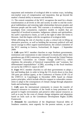repayment and restitution of ecological debt in various ways, including non-market ways of compensation and reparation, that go beyond the market"s limited ability to measure and distribute.

11**.** The central committee of the WCC recognizes the need for a drastic transformation at all levels in life and society in order to end the ecological indebtedness and restoring right relationships between peoples and between people and the earth. This warrants a re-ordering of economic paradigms from consumerist, exploitive models to models that are respectful of localized economies, indigenous cultures and spiritualities, the earth"s reproductive limits, as well as the right of other life forms to blossom. And this begins with the recognition of ecological debt.

While affirming the role of churches to play a critical role in lifting up alternative practices, as well as building the necessary political will and moral courage to effect urgent transformations, the central committee of the WCC meeting in Geneva, Switzerland, 26 August – 2 September 2009:

A. *Calls* upon WCC member churches to urge Northern governments, institutions and corporations to take initiatives to drastically reduce their greenhouse gas (GHG) emissions within and beyond the United Nations Framework Convention on Climate Change (UNFCCC), which stipulates the principles of historical responsibility and "common, but differentiated responsibilities" (CDR), according to the fixed timelines set out by the UNFCCC report of 2007.

B. *Urges* WCC member churches to call their governments to adopt a fair and binding deal, in order to bring the  $CO<sub>2</sub>$  levels down to less than 350 parts per million (ppm), at the Conference of Parties (COP 15) of the UNFCCC in Copenhagen in December 2009, based on climate justice principles, which include effective support to vulnerable communities to adapt to the consequences of climate change through adaptation funds and technology transfer.

C. *Calls* upon the international community to ensure the transfer of financial resources to countries of the South to keep petroleum in the ground in fragile environments and preserve other natural resources as well as to pay for the costs of climate change mitigation and adaptation based on tools such as the Greenhouse Development Rights (GDR) Framework.

D. *Demands* the cancellation of the illegitimate financial debts of Southern countries, most urgently for the poorest nations, as part of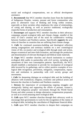social and ecological compensations, not as official development assistance.

E. *Recommends* that WCC member churches learn from the leadership of Indigenous Peoples, women, peasant and forest communities who point to alternative ways of thinking and living within creation, especially as these societies often emphasize the value of relationships, of caring and sharing, as well as practice traditional, ecologically respectful forms of production and consumption.

F. *Encourages* and supports WCC member churches in their advocacy campaigns around ecological debt and climate change, mindful of the unity of God"s creation and of the need for collaborative working between Southern and Northern nations. Specifically *supports* the activities of churches in countries that are suffering from climate change.

G. *Calls* for continued awareness-building and theological reflection among congregations and seminary students on a new cosmological vision of life, eco-justice and ecological debt through study and action, deeper ecumenical and inter-faith formation, and through the production and dissemination of relevant theological and biblical study materials.

H. *Urges* WCC member churches and church institutions to conduct ecological debt audits in partnership with civil society, including selfassessment of their own consumption patterns. Specifically, the WCC should establish a mechanism to provide for recompense of ecological debt incurred by its gatherings, and to collect positive examples of ecological debt recognition, prevention, mitigation, compensation, reparation and restitution in partnership with civil society groups and movements.

I. *Calls* for deepening dialogue on ecological debt and the building of alliances with ecumenical, religious, economic and political actors and between the churches in Southern and Northern countries.

J. *Stresses* the importance of accompanying ongoing struggles and strategically linking and supporting the efforts of peasant, women's, youth and indigenous peoples" movements through the World Social Forum and other avenues to design alternative compensation proposals, as well as to avoid amassing more ecological debt.

K. *Calls* upon WCC member churches through their advocacy work to encourage their governments to work for the recognition of the claims of ecological debt, including the cancellation of illegitimate financial debts.

L. *Calls* upon WCC member churches to deepen their campaigns on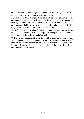climate change by including climate debt and advocating for its repayment by applying the ecological debt framework.

M. *Calls* upon WCC member churches to advocate for corporate social accountability within international and national legal frameworks and to challenge corporations and international financial institutions to include environmental liabilities in their accounts and to take responsibility for the policies that have caused ecological destruction.

N. *Calls* upon WCC member churches to support community-based sustainable economic initiatives, such as producer cooperatives, community land trusts and bio-regional food distributions.

O. *Encourages* churches all over the world to continue praying for the whole of creation as we commemorate on 1 September this year the  $20<sup>th</sup>$ anniversary of the encyclical of His All Holiness the Ecumenical Patriarch Dimitrios I, establishing the day of the protection of the environment, God"s creation.